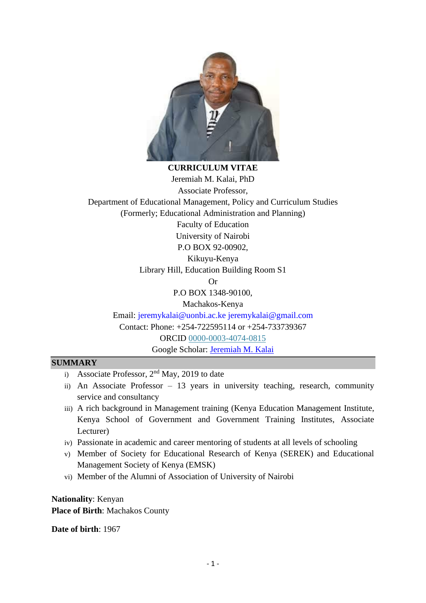

**CURRICULUM VITAE** Jeremiah M. Kalai, PhD Associate Professor, Department of Educational Management, Policy and Curriculum Studies (Formerly; Educational Administration and Planning) Faculty of Education

> University of Nairobi P.O BOX 92-00902,

Kikuyu-Kenya

Library Hill, Education Building Room S1

Or

P.O BOX 1348-90100,

Machakos-Kenya Email: [jeremykalai@uonbi.ac.ke](mailto:jeremykalai@uonbi.ac.ke) [jeremykalai@gmail.com](mailto:jeremykalai@gmail.com) Contact: Phone: +254-722595114 or +254-733739367 ORCID [0000-0003-4074-0815](https://orcid.org/0000-0003-4074-0815) Google Scholar: [Jeremiah M. Kalai](https://scholar.google.com/citations?user=xu0gh3cAAAAJ&hl=en)

### **SUMMARY**

- i) Associate Professor,  $2<sup>nd</sup>$  May, 2019 to date
- ii) An Associate Professor 13 years in university teaching, research, community service and consultancy
- iii) A rich background in Management training (Kenya Education Management Institute, Kenya School of Government and Government Training Institutes, Associate Lecturer)
- iv) Passionate in academic and career mentoring of students at all levels of schooling
- v) Member of Society for Educational Research of Kenya (SEREK) and Educational Management Society of Kenya (EMSK)
- vi) Member of the Alumni of Association of University of Nairobi

**Nationality**: Kenyan **Place of Birth**: Machakos County

**Date of birth**: 1967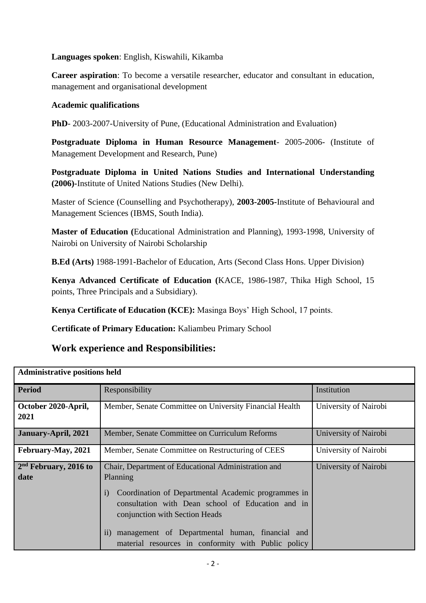## **Languages spoken**: English, Kiswahili, Kikamba

**Career aspiration**: To become a versatile researcher, educator and consultant in education, management and organisational development

## **Academic qualifications**

**PhD**- 2003-2007-University of Pune, (Educational Administration and Evaluation)

**Postgraduate Diploma in Human Resource Management**- 2005-2006- (Institute of Management Development and Research, Pune)

**Postgraduate Diploma in United Nations Studies and International Understanding (2006)-**Institute of United Nations Studies (New Delhi).

Master of Science (Counselling and Psychotherapy), **2003-2005-**Institute of Behavioural and Management Sciences (IBMS, South India).

**Master of Education (**Educational Administration and Planning), 1993-1998, University of Nairobi on University of Nairobi Scholarship

**B.Ed (Arts)** 1988-1991-Bachelor of Education, Arts (Second Class Hons. Upper Division)

**Kenya Advanced Certificate of Education (**KACE, 1986-1987, Thika High School, 15 points, Three Principals and a Subsidiary).

**Kenya Certificate of Education (KCE):** Masinga Boys' High School, 17 points.

**Certificate of Primary Education:** Kaliambeu Primary School

# **Work experience and Responsibilities:**

| <b>Administrative positions held</b> |                                                                                                                                                                 |                       |  |  |
|--------------------------------------|-----------------------------------------------------------------------------------------------------------------------------------------------------------------|-----------------------|--|--|
| <b>Period</b>                        | Responsibility                                                                                                                                                  | Institution           |  |  |
| October 2020-April,<br>2021          | Member, Senate Committee on University Financial Health                                                                                                         | University of Nairobi |  |  |
| January-April, 2021                  | Member, Senate Committee on Curriculum Reforms                                                                                                                  | University of Nairobi |  |  |
| February-May, 2021                   | University of Nairobi<br>Member, Senate Committee on Restructuring of CEES                                                                                      |                       |  |  |
| $2nd$ February, 2016 to<br>date      | Chair, Department of Educational Administration and<br>Planning                                                                                                 | University of Nairobi |  |  |
|                                      | Coordination of Departmental Academic programmes in<br>$\left( i\right)$<br>consultation with Dean school of Education and in<br>conjunction with Section Heads |                       |  |  |
|                                      | management of Departmental human, financial and<br>11)<br>material resources in conformity with Public policy                                                   |                       |  |  |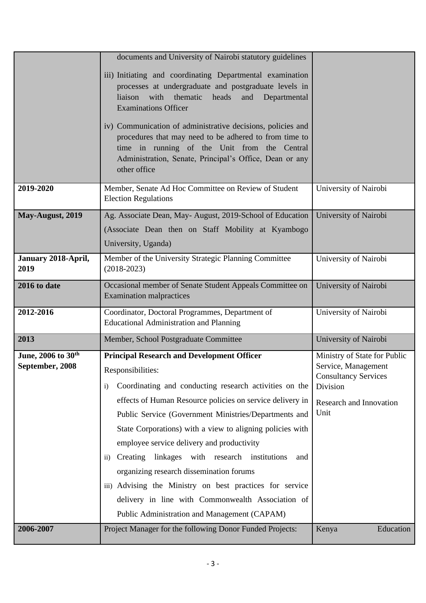|                                                   | documents and University of Nairobi statutory guidelines                                                                                                                                                                                                                                                                                                                                                                                                                                                                                                                                                                                                  |                                                                                                                                   |
|---------------------------------------------------|-----------------------------------------------------------------------------------------------------------------------------------------------------------------------------------------------------------------------------------------------------------------------------------------------------------------------------------------------------------------------------------------------------------------------------------------------------------------------------------------------------------------------------------------------------------------------------------------------------------------------------------------------------------|-----------------------------------------------------------------------------------------------------------------------------------|
|                                                   | iii) Initiating and coordinating Departmental examination<br>processes at undergraduate and postgraduate levels in<br>liaison with<br>thematic heads<br>and<br>Departmental<br><b>Examinations Officer</b>                                                                                                                                                                                                                                                                                                                                                                                                                                                |                                                                                                                                   |
|                                                   | iv) Communication of administrative decisions, policies and<br>procedures that may need to be adhered to from time to<br>time in running of the Unit from the Central<br>Administration, Senate, Principal's Office, Dean or any<br>other office                                                                                                                                                                                                                                                                                                                                                                                                          |                                                                                                                                   |
| 2019-2020                                         | Member, Senate Ad Hoc Committee on Review of Student<br><b>Election Regulations</b>                                                                                                                                                                                                                                                                                                                                                                                                                                                                                                                                                                       | University of Nairobi                                                                                                             |
| May-August, 2019                                  | Ag. Associate Dean, May-August, 2019-School of Education<br>(Associate Dean then on Staff Mobility at Kyambogo<br>University, Uganda)                                                                                                                                                                                                                                                                                                                                                                                                                                                                                                                     | University of Nairobi                                                                                                             |
| January 2018-April,<br>2019                       | Member of the University Strategic Planning Committee<br>$(2018-2023)$                                                                                                                                                                                                                                                                                                                                                                                                                                                                                                                                                                                    | University of Nairobi                                                                                                             |
| 2016 to date                                      | Occasional member of Senate Student Appeals Committee on                                                                                                                                                                                                                                                                                                                                                                                                                                                                                                                                                                                                  | University of Nairobi                                                                                                             |
|                                                   | <b>Examination malpractices</b>                                                                                                                                                                                                                                                                                                                                                                                                                                                                                                                                                                                                                           |                                                                                                                                   |
| 2012-2016                                         | Coordinator, Doctoral Programmes, Department of<br><b>Educational Administration and Planning</b>                                                                                                                                                                                                                                                                                                                                                                                                                                                                                                                                                         | University of Nairobi                                                                                                             |
| 2013                                              | Member, School Postgraduate Committee                                                                                                                                                                                                                                                                                                                                                                                                                                                                                                                                                                                                                     | University of Nairobi                                                                                                             |
| June, 2006 to 30 <sup>th</sup><br>September, 2008 | <b>Principal Research and Development Officer</b><br>Responsibilities:<br>Coordinating and conducting research activities on the<br>$\mathbf{i}$<br>effects of Human Resource policies on service delivery in<br>Public Service (Government Ministries/Departments and<br>State Corporations) with a view to aligning policies with<br>employee service delivery and productivity<br>ii) Creating linkages with research institutions<br>and<br>organizing research dissemination forums<br>iii) Advising the Ministry on best practices for service<br>delivery in line with Commonwealth Association of<br>Public Administration and Management (CAPAM) | Ministry of State for Public<br>Service, Management<br><b>Consultancy Services</b><br>Division<br>Research and Innovation<br>Unit |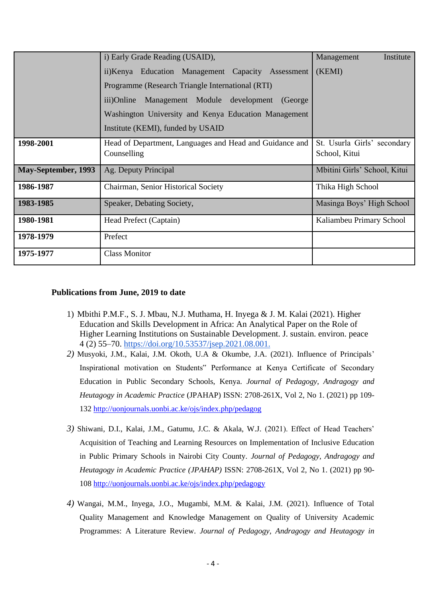|                     | i) Early Grade Reading (USAID),                                        | Management<br>Institute                      |
|---------------------|------------------------------------------------------------------------|----------------------------------------------|
|                     | ii)Kenya Education Management Capacity Assessment                      | (KEMI)                                       |
|                     | Programme (Research Triangle International (RTI)                       |                                              |
|                     | Management Module development<br>iii)Online<br>(George)                |                                              |
|                     | Washington University and Kenya Education Management                   |                                              |
|                     | Institute (KEMI), funded by USAID                                      |                                              |
| 1998-2001           | Head of Department, Languages and Head and Guidance and<br>Counselling | St. Usurla Girls' secondary<br>School, Kitui |
| May-September, 1993 | Ag. Deputy Principal                                                   | Mbitini Girls' School, Kitui                 |
| 1986-1987           | Chairman, Senior Historical Society                                    | Thika High School                            |
| 1983-1985           | Speaker, Debating Society,                                             | Masinga Boys' High School                    |
| 1980-1981           | Head Prefect (Captain)                                                 | Kaliambeu Primary School                     |
| 1978-1979           | Prefect                                                                |                                              |
| 1975-1977           | <b>Class Monitor</b>                                                   |                                              |

### **Publications from June, 2019 to date**

- 1) Mbithi P.M.F., S. J. Mbau, N.J. Muthama, H. Inyega & J. M. Kalai (2021). Higher Education and Skills Development in Africa: An Analytical Paper on the Role of Higher Learning Institutions on Sustainable Development. J. sustain. environ. peace 4 (2) 55–70. [https://doi.org/10.53537/jsep.2021.08.001.](https://doi.org/10.53537/jsep.2021.08.001)
- *2)* Musyoki, J.M., Kalai, J.M. Okoth, U.A & Okumbe, J.A. (2021). Influence of Principals' Inspirational motivation on Students" Performance at Kenya Certificate of Secondary Education in Public Secondary Schools, Kenya. *Journal of Pedagogy, Andragogy and Heutagogy in Academic Practice* (JPAHAP) ISSN: 2708-261X, Vol 2, No 1. (2021) pp 109- 132<http://uonjournals.uonbi.ac.ke/ojs/index.php/pedagog>
- *3)* Shiwani, D.I., Kalai, J.M., Gatumu, J.C. & Akala, W.J. (2021). Effect of Head Teachers' Acquisition of Teaching and Learning Resources on Implementation of Inclusive Education in Public Primary Schools in Nairobi City County. *Journal of Pedagogy, Andragogy and Heutagogy in Academic Practice (JPAHAP)* ISSN: 2708-261X, Vol 2, No 1. (2021) pp 90- 108<http://uonjournals.uonbi.ac.ke/ojs/index.php/pedagogy>
- *4)* Wangai, M.M., Inyega, J.O., Mugambi, M.M. & Kalai, J.M. (2021). Influence of Total Quality Management and Knowledge Management on Quality of University Academic Programmes: A Literature Review. *Journal of Pedagogy, Andragogy and Heutagogy in*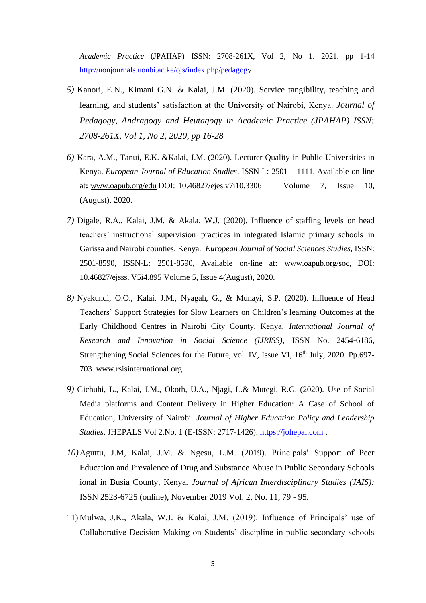*Academic Practice* (JPAHAP) ISSN: 2708-261X, Vol 2, No 1. 2021. pp 1-14 [http://uonjournals.uonbi.ac.ke/ojs/index.php/pedagogy](http://uonjournals.uonbi.ac.ke/ojs/index.php/pedagog)

- *5)* Kanori, E.N., Kimani G.N. & Kalai, J.M. (2020). Service tangibility, teaching and learning, and students' satisfaction at the University of Nairobi, Kenya. *Journal of Pedagogy, Andragogy and Heutagogy in Academic Practice (JPAHAP) ISSN: 2708-261X, Vol 1, No 2, 2020, pp 16-28*
- *6)* Kara, A.M., Tanui, E.K. &Kalai, J.M. (2020). Lecturer Quality in Public Universities in Kenya. *European Journal of Education Studies*. ISSN-L: 2501 – 1111, Available on-line at**:** [www.oapub.org/edu](http://www.oapub.org/edu) DOI: 10.46827/ejes.v7i10.3306 Volume 7, Issue 10, (August), 2020.
- *7)* Digale, R.A., Kalai, J.M. & Akala, W.J. (2020). Influence of staffing levels on head teachers' instructional supervision practices in integrated Islamic primary schools in Garissa and Nairobi counties, Kenya. *European Journal of Social Sciences Studies,* ISSN: 2501-8590, ISSN-L: 2501-8590, Available on-line at**:** [www.oapub.org/soc,](http://www.oapub.org/soc) DOI: 10.46827/ejsss. V5i4.895 Volume 5, Issue 4(August), 2020.
- *8)* Nyakundi, O.O., Kalai, J.M., Nyagah, G., & Munayi, S.P. (2020). Influence of Head Teachers' Support Strategies for Slow Learners on Children's learning Outcomes at the Early Childhood Centres in Nairobi City County, Kenya. *International Journal of Research and Innovation in Social Science (IJRISS),* ISSN No. 2454-6186, Strengthening Social Sciences for the Future, vol. IV, Issue VI, 16<sup>th</sup> July, 2020. Pp.697-703. www.rsisinternational.org.
- *9)* Gichuhi, L., Kalai, J.M., Okoth, U.A., Njagi, L.& Mutegi, R.G. (2020). Use of Social Media platforms and Content Delivery in Higher Education: A Case of School of Education, University of Nairobi. *Journal of Higher Education Policy and Leadership Studies*. JHEPALS Vol 2.No. 1 (E-ISSN: 2717-1426). [https://johepal.com](https://johepal.com/) .
- *10)*Aguttu, J.M, Kalai, J.M. & Ngesu, L.M. (2019). Principals' Support of Peer Education and Prevalence of Drug and Substance Abuse in Public Secondary Schools ional in Busia County, Kenya. *Journal of African Interdisciplinary Studies (JAIS):* ISSN 2523-6725 (online), November 2019 Vol. 2, No. 11, 79 - 95.
- 11) Mulwa, J.K., Akala, W.J. & Kalai, J.M. (2019). Influence of Principals' use of Collaborative Decision Making on Students' discipline in public secondary schools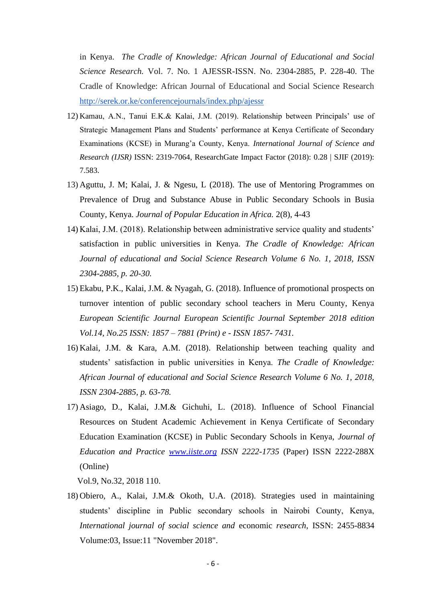in Kenya. *The Cradle of Knowledge: African Journal of Educational and Social Science Research.* Vol. 7. No. 1 AJESSR-ISSN. No. 2304-2885, P. 228-40. The Cradle of Knowledge: African Journal of Educational and Social Science Research <http://serek.or.ke/conferencejournals/index.php/ajessr>

- 12) Kamau, A.N., Tanui E.K.& Kalai, J.M. (2019). Relationship between Principals' use of Strategic Management Plans and Students' performance at Kenya Certificate of Secondary Examinations (KCSE) in Murang'a County, Kenya. *International Journal of Science and Research (IJSR)* ISSN: 2319-7064, ResearchGate Impact Factor (2018): 0.28 | SJIF (2019): 7.583.
- 13) Aguttu, J. M; Kalai, J. & Ngesu, L (2018). The use of Mentoring Programmes on Prevalence of Drug and Substance Abuse in Public Secondary Schools in Busia County, Kenya. *Journal of Popular Education in Africa.* 2(8), 4-43
- 14) Kalai, J.M. (2018). Relationship between administrative service quality and students' satisfaction in public universities in Kenya. *The Cradle of Knowledge: African Journal of educational and Social Science Research Volume 6 No. 1, 2018, ISSN 2304-2885, p. 20-30.*
- 15) Ekabu, P.K., Kalai, J.M. & Nyagah, G. (2018). Influence of promotional prospects on turnover intention of public secondary school teachers in Meru County, Kenya *European Scientific Journal European Scientific Journal September 2018 edition Vol.14, No.25 ISSN: 1857 – 7881 (Print) e - ISSN 1857- 7431.*
- 16) Kalai, J.M. & Kara, A.M. (2018). Relationship between teaching quality and students' satisfaction in public universities in Kenya. *The Cradle of Knowledge: African Journal of educational and Social Science Research Volume 6 No. 1, 2018, ISSN 2304-2885, p. 63-78.*
- 17) Asiago, D., Kalai, J.M.& Gichuhi, L. (2018). Influence of School Financial Resources on Student Academic Achievement in Kenya Certificate of Secondary Education Examination (KCSE) in Public Secondary Schools in Kenya, *Journal of Education and Practice [www.iiste.org](http://www.iiste.org/) ISSN 2222-1735* (Paper) ISSN 2222-288X (Online)

Vol.9, No.32, 2018 110.

18) Obiero, A., Kalai, J.M.& Okoth, U.A. (2018). Strategies used in maintaining students' discipline in Public secondary schools in Nairobi County, Kenya, *International journal of social science and* economic *research,* ISSN: 2455-8834 Volume:03, Issue:11 "November 2018".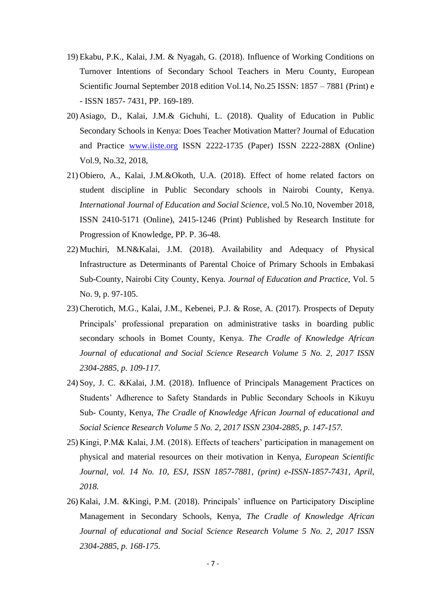- 19) Ekabu, P.K., Kalai, J.M. & Nyagah, G. (2018). Influence of Working Conditions on Turnover Intentions of Secondary School Teachers in Meru County, European Scientific Journal September 2018 edition Vol.14, No.25 ISSN: 1857 – 7881 (Print) e - ISSN 1857- 7431, PP. 169-189.
- 20) Asiago, D., Kalai, J.M.& Gichuhi, L. (2018). Quality of Education in Public Secondary Schools in Kenya: Does Teacher Motivation Matter? Journal of Education and Practice [www.iiste.org](http://www.iiste.org/) ISSN 2222-1735 (Paper) ISSN 2222-288X (Online) Vol.9, No.32, 2018,
- 21) Obiero, A., Kalai, J.M.&Okoth, U.A. (2018). Effect of home related factors on student discipline in Public Secondary schools in Nairobi County, Kenya. *International Journal of Education and Social Science*, vol.5 No.10, November 2018, ISSN 2410-5171 (Online), 2415-1246 (Print) Published by Research Institute for Progression of Knowledge, PP. P. 36-48.
- 22) Muchiri, M.N&Kalai, J.M. (2018). Availability and Adequacy of Physical Infrastructure as Determinants of Parental Choice of Primary Schools in Embakasi Sub-County, Nairobi City County, Kenya. *Journal of Education and Practice,* Vol. 5 No. 9, p. 97-105.
- 23)Cherotich, M.G., Kalai, J.M., Kebenei, P.J. & Rose, A. (2017). Prospects of Deputy Principals' professional preparation on administrative tasks in boarding public secondary schools in Bomet County, Kenya. *The Cradle of Knowledge African Journal of educational and Social Science Research Volume 5 No. 2, 2017 ISSN 2304-2885, p. 109-117.*
- 24) Soy, J. C. &Kalai, J.M. (2018). Influence of Principals Management Practices on Students' Adherence to Safety Standards in Public Secondary Schools in Kikuyu Sub- County, Kenya, *The Cradle of Knowledge African Journal of educational and Social Science Research Volume 5 No. 2, 2017 ISSN 2304-2885, p. 147-157.*
- 25) Kingi, P.M& Kalai, J.M. (2018). Effects of teachers' participation in management on physical and material resources on their motivation in Kenya, *European Scientific Journal, vol. 14 No. 10, ESJ, ISSN 1857-7881, (print) e-ISSN-1857-7431, April, 2018.*
- 26) Kalai, J.M. &Kingi, P.M. (2018). Principals' influence on Participatory Discipline Management in Secondary Schools, Kenya, *The Cradle of Knowledge African Journal of educational and Social Science Research Volume 5 No. 2, 2017 ISSN 2304-2885, p. 168-175.*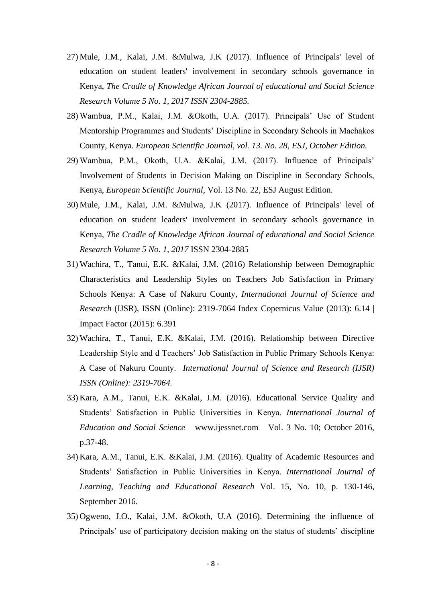- 27) Mule, J.M., Kalai, J.M. &Mulwa, J.K (2017). Influence of Principals' level of education on student leaders' involvement in secondary schools governance in Kenya, *The Cradle of Knowledge African Journal of educational and Social Science Research Volume 5 No. 1, 2017 ISSN 2304-2885.*
- 28) Wambua, P.M., Kalai, J.M. &Okoth, U.A. (2017). Principals' Use of Student Mentorship Programmes and Students' Discipline in Secondary Schools in Machakos County, Kenya. *European Scientific Journal, vol. 13. No. 28, ESJ, October Edition.*
- 29) Wambua, P.M., Okoth, U.A. &Kalai, J.M. (2017). Influence of Principals' Involvement of Students in Decision Making on Discipline in Secondary Schools, Kenya, *European Scientific Journal,* Vol. 13 No. 22, ESJ August Edition.
- 30) Mule, J.M., Kalai, J.M. &Mulwa, J.K (2017). Influence of Principals' level of education on student leaders' involvement in secondary schools governance in Kenya, *The Cradle of Knowledge African Journal of educational and Social Science Research Volume 5 No. 1, 2017* ISSN 2304-2885
- 31) Wachira, T., Tanui, E.K. &Kalai, J.M. (2016) Relationship between Demographic Characteristics and Leadership Styles on Teachers Job Satisfaction in Primary Schools Kenya: A Case of Nakuru County, *International Journal of Science and Research* (IJSR), ISSN (Online): 2319-7064 Index Copernicus Value (2013): 6.14 | Impact Factor (2015): 6.391
- 32) Wachira, T., Tanui, E.K. &Kalai, J.M. (2016). Relationship between Directive Leadership Style and d Teachers' Job Satisfaction in Public Primary Schools Kenya: A Case of Nakuru County. *International Journal of Science and Research (IJSR) ISSN (Online): 2319-7064.*
- 33) Kara, A.M., Tanui, E.K. &Kalai, J.M. (2016). Educational Service Quality and Students' Satisfaction in Public Universities in Kenya*. International Journal of Education and Social Science* www.ijessnet.com Vol. 3 No. 10; October 2016, p.37-48.
- 34) Kara, A.M., Tanui, E.K. &Kalai, J.M. (2016). Quality of Academic Resources and Students' Satisfaction in Public Universities in Kenya. *International Journal of Learning, Teaching and Educational Research* Vol. 15, No. 10, p. 130-146, September 2016.
- 35) Ogweno, J.O., Kalai, J.M. &Okoth, U.A (2016). Determining the influence of Principals' use of participatory decision making on the status of students' discipline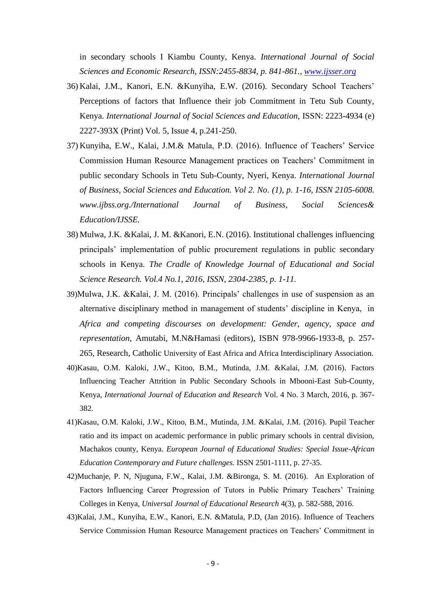in secondary schools I Kiambu County, Kenya. *International Journal of Social Sciences and Economic Research, ISSN:2455-8834, p. 841-861., [www.ijsser.org](http://www.ijsser.org/)*

- 36) Kalai, J.M., Kanori, E.N. &Kunyiha, E.W. (2016). Secondary School Teachers' Perceptions of factors that Influence their job Commitment in Tetu Sub County, Kenya. *International Journal of Social Sciences and Education,* ISSN: 2223-4934 (e) 2227-393X (Print) Vol. 5, Issue 4, p.241-250.
- 37) Kunyiha, E.W., Kalai, J.M.& Matula, P.D. (2016). Influence of Teachers' Service Commission Human Resource Management practices on Teachers' Commitment in public secondary Schools in Tetu Sub-County, Nyeri, Kenya. *International Journal of Business, Social Sciences and Education. Vol 2. No. (1), p. 1-16, ISSN 2105-6008. www.ijbss.org./International Journal of Business, Social Sciences& Education/IJSSE.*
- 38) Mulwa, J.K. &Kalai, J. M. &Kanori, E.N. (2016). Institutional challenges influencing principals' implementation of public procurement regulations in public secondary schools in Kenya. *The Cradle of Knowledge Journal of Educational and Social Science Research. Vol.4 No.1, 2016, ISSN, 2304-2385, p. 1-11.*
- 39)Mulwa, J.K. &Kalai, J. M. (2016). Principals' challenges in use of suspension as an alternative disciplinary method in management of students' discipline in Kenya, in *Africa and competing discourses on development: Gender, agency, space and representation*, Amutabi, M.N&Hamasi (editors), ISBN 978-9966-1933-8, p. 257- 265, Research, Catholic University of East Africa and Africa Interdisciplinary Association.
- 40)Kasau, O.M. Kaloki, J.W., Kitoo, B.M., Mutinda, J.M. &Kalai, J.M. (2016). Factors Influencing Teacher Attrition in Public Secondary Schools in Mbooni-East Sub-County, Kenya, *International Journal of Education and Research* Vol. 4 No. 3 March, 2016, p. 367- 382.
- 41)Kasau, O.M. Kaloki, J.W., Kitoo, B.M., Mutinda, J.M. &Kalai, J.M. (2016). Pupil Teacher ratio and its impact on academic performance in public primary schools in central division, Machakos county, Kenya. *European Journal of Educational Studies: Special Issue-African Education Contemporary and Future challenges.* ISSN 2501-1111, p. 27-35.
- 42)Muchanje, P. N, Njuguna, F.W., Kalai, J.M. &Bironga, S. M. (2016). An Exploration of Factors Influencing Career Progression of Tutors in Public Primary Teachers' Training Colleges in Kenya, *Universal Journal of Educational Research* 4(3), p. 582-588, 2016.
- 43)Kalai, J.M., Kunyiha, E.W., Kanori, E.N. &Matula, P.D, (Jan 2016). Influence of Teachers Service Commission Human Resource Management practices on Teachers' Commitment in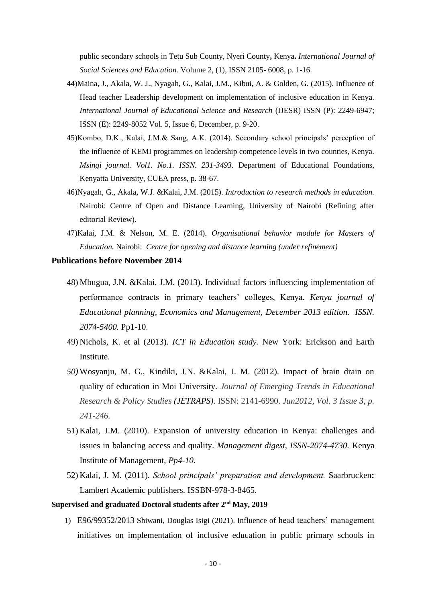public secondary schools in Tetu Sub County, Nyeri County**,** Kenya**.** *International Journal of Social Sciences and Education.* Volume 2, (1), ISSN 2105- 6008, p. 1-16.

- 44)Maina, J., Akala, W. J., Nyagah, G., Kalai, J.M., Kibui, A. & Golden, G. (2015). Influence of Head teacher Leadership development on implementation of inclusive education in Kenya. *International Journal of Educational Science and Research* (IJESR) ISSN (P): 2249-6947; ISSN (E): 2249-8052 Vol. 5, Issue 6, December, p. 9-20.
- 45)Kombo, D.K., Kalai, J.M.& Sang, A.K. (2014). Secondary school principals' perception of the influence of KEMI programmes on leadership competence levels in two counties, Kenya. *Msingi journal. Vol1. No.1. ISSN. 231-3493.* Department of Educational Foundations, Kenyatta University, CUEA press, p. 38-67.
- 46)Nyagah, G., Akala, W.J. &Kalai, J.M. (2015). *Introduction to research methods in education.*  Nairobi: Centre of Open and Distance Learning, University of Nairobi (Refining after editorial Review).
- 47)Kalai, J.M. & Nelson, M. E. (2014). *Organisational behavior module for Masters of Education.* Nairobi: *Centre for opening and distance learning (under refinement)*

#### **Publications before November 2014**

- 48) Mbugua, J.N. &Kalai, J.M. (2013). Individual factors influencing implementation of performance contracts in primary teachers' colleges, Kenya. *Kenya journal of Educational planning, Economics and Management, December 2013 edition. ISSN. 2074-5400.* Pp1-10.
- 49) Nichols, K. et al (2013). *ICT in Education study.* New York: Erickson and Earth Institute.
- *50)* Wosyanju, M. G., Kindiki, J.N. &Kalai, J. M. (2012). Impact of brain drain on quality of education in Moi University. *Journal of Emerging Trends in Educational Research & Policy Studies (JETRAPS).* ISSN: 2141-6990. *Jun2012, Vol. 3 Issue 3, p. 241-246.*
- 51) Kalai, J.M. (2010). Expansion of university education in Kenya: challenges and issues in balancing access and quality. *Management digest, ISSN-2074-4730.* Kenya Institute of Management, *Pp4-10.*
- 52) Kalai, J. M. (2011). *School principals' preparation and development.* Saarbrucken**:** Lambert Academic publishers. ISSBN-978-3-8465.

### **Supervised and graduated Doctoral students after 2nd May, 2019**

1) E96/99352/2013 Shiwani, Douglas Isigi (2021). Influence of head teachers' management initiatives on implementation of inclusive education in public primary schools in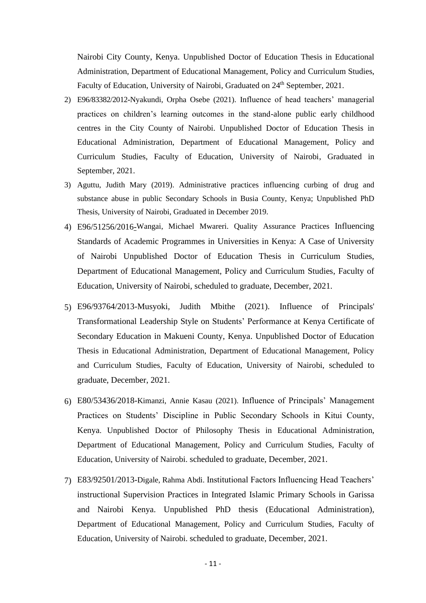Nairobi City County, Kenya. Unpublished Doctor of Education Thesis in Educational Administration, Department of Educational Management, Policy and Curriculum Studies, Faculty of Education, University of Nairobi, Graduated on 24<sup>th</sup> September, 2021.

- 2) E96/83382/2012**-**Nyakundi, Orpha Osebe (2021). Influence of head teachers' managerial practices on children's learning outcomes in the stand-alone public early childhood centres in the City County of Nairobi. Unpublished Doctor of Education Thesis in Educational Administration, Department of Educational Management, Policy and Curriculum Studies, Faculty of Education, University of Nairobi, Graduated in September, 2021.
- 3) Aguttu, Judith Mary (2019). Administrative practices influencing curbing of drug and substance abuse in public Secondary Schools in Busia County, Kenya; Unpublished PhD Thesis, University of Nairobi, Graduated in December 2019.
- 4) E96/51256/2016-Wangai, Michael Mwareri. Quality Assurance Practices Influencing Standards of Academic Programmes in Universities in Kenya: A Case of University of Nairobi Unpublished Doctor of Education Thesis in Curriculum Studies, Department of Educational Management, Policy and Curriculum Studies, Faculty of Education, University of Nairobi, scheduled to graduate, December, 2021.
- 5) E96/93764/2013-Musyoki, Judith Mbithe (2021). Influence of Principals' Transformational Leadership Style on Students' Performance at Kenya Certificate of Secondary Education in Makueni County, Kenya. Unpublished Doctor of Education Thesis in Educational Administration, Department of Educational Management, Policy and Curriculum Studies, Faculty of Education, University of Nairobi, scheduled to graduate, December, 2021.
- 6) E80/53436/2018-Kimanzi, Annie Kasau (2021). Influence of Principals' Management Practices on Students' Discipline in Public Secondary Schools in Kitui County, Kenya. Unpublished Doctor of Philosophy Thesis in Educational Administration, Department of Educational Management, Policy and Curriculum Studies, Faculty of Education, University of Nairobi. scheduled to graduate, December, 2021.
- 7) E83/92501/2013-Digale, Rahma Abdi. Institutional Factors Influencing Head Teachers' instructional Supervision Practices in Integrated Islamic Primary Schools in Garissa and Nairobi Kenya. Unpublished PhD thesis (Educational Administration), Department of Educational Management, Policy and Curriculum Studies, Faculty of Education, University of Nairobi. scheduled to graduate, December, 2021.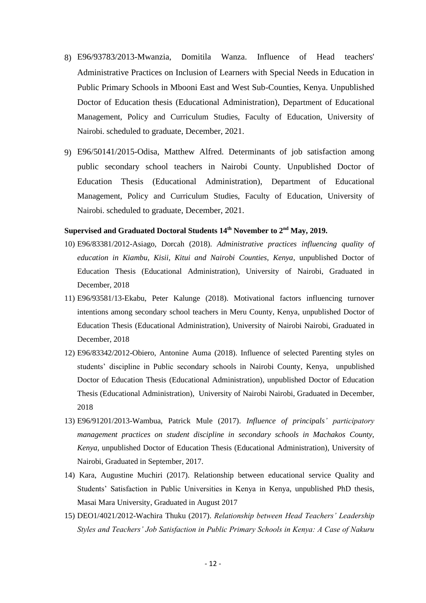- 8) E96/93783/2013-Mwanzia, Domitila Wanza. Influence of Head teachers' Administrative Practices on Inclusion of Learners with Special Needs in Education in Public Primary Schools in Mbooni East and West Sub-Counties, Kenya. Unpublished Doctor of Education thesis (Educational Administration), Department of Educational Management, Policy and Curriculum Studies, Faculty of Education, University of Nairobi. scheduled to graduate, December, 2021.
- 9) E96/50141/2015-Odisa, Matthew Alfred. Determinants of job satisfaction among public secondary school teachers in Nairobi County. Unpublished Doctor of Education Thesis (Educational Administration), Department of Educational Management, Policy and Curriculum Studies, Faculty of Education, University of Nairobi. scheduled to graduate, December, 2021.

#### **Supervised and Graduated Doctoral Students 14th November to 2nd May, 2019.**

- 10) E96/83381/2012-Asiago, Dorcah (2018). *Administrative practices influencing quality of education in Kiambu, Kisii, Kitui and Nairobi Counties, Kenya*, unpublished Doctor of Education Thesis (Educational Administration), University of Nairobi, Graduated in December, 2018
- 11) E96/93581/13-Ekabu, Peter Kalunge (2018). Motivational factors influencing turnover intentions among secondary school teachers in Meru County, Kenya, unpublished Doctor of Education Thesis (Educational Administration), University of Nairobi Nairobi, Graduated in December, 2018
- 12) E96/83342/2012-Obiero, Antonine Auma (2018). Influence of selected Parenting styles on students' discipline in Public secondary schools in Nairobi County, Kenya, unpublished Doctor of Education Thesis (Educational Administration), unpublished Doctor of Education Thesis (Educational Administration), University of Nairobi Nairobi, Graduated in December, 2018
- 13) E96/91201/2013-Wambua, Patrick Mule (2017). *Influence of principals' participatory management practices on student discipline in secondary schools in Machakos County, Kenya,* unpublished Doctor of Education Thesis (Educational Administration), University of Nairobi, Graduated in September, 2017.
- 14) Kara, Augustine Muchiri (2017). Relationship between educational service Quality and Students' Satisfaction in Public Universities in Kenya in Kenya, unpublished PhD thesis, Masai Mara University, Graduated in August 2017
- 15) DEO1/4021/2012-Wachira Thuku (2017). *Relationship between Head Teachers' Leadership Styles and Teachers' Job Satisfaction in Public Primary Schools in Kenya: A Case of Nakuru*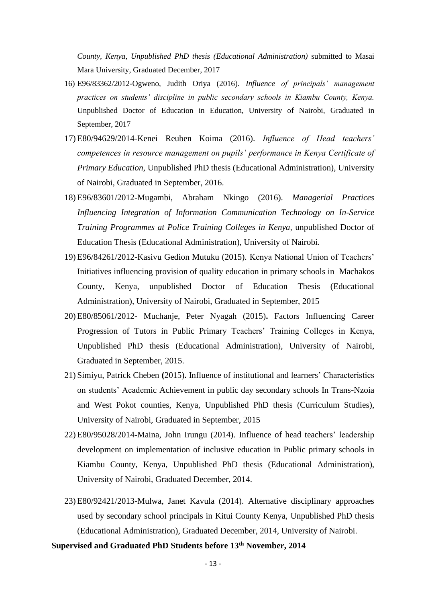*County, Kenya, Unpublished PhD thesis (Educational Administration)* submitted to Masai Mara University, Graduated December, 2017

- 16) E96/83362/2012-Ogweno, Judith Oriya (2016). *Influence of principals' management practices on students' discipline in public secondary schools in Kiambu County, Kenya.*  Unpublished Doctor of Education in Education, University of Nairobi, Graduated in September, 2017
- 17) E80/94629/2014-Kenei Reuben Koima (2016). *Influence of Head teachers' competences in resource management on pupils' performance in Kenya Certificate of Primary Education,* Unpublished PhD thesis (Educational Administration), University of Nairobi, Graduated in September, 2016.
- 18) E96/83601/2012-Mugambi, Abraham Nkingo (2016). *Managerial Practices Influencing Integration of Information Communication Technology on In-Service Training Programmes at Police Training Colleges in Kenya, unpublished Doctor of* Education Thesis (Educational Administration), University of Nairobi.
- 19) E96/84261/2012-Kasivu Gedion Mutuku (2015). Kenya National Union of Teachers' Initiatives influencing provision of quality education in primary schools in Machakos County, Kenya, unpublished Doctor of Education Thesis (Educational Administration), University of Nairobi, Graduated in September, 2015
- 20) E80/85061/2012- Muchanje, Peter Nyagah (2015)**.** Factors Influencing Career Progression of Tutors in Public Primary Teachers' Training Colleges in Kenya, Unpublished PhD thesis (Educational Administration), University of Nairobi, Graduated in September, 2015.
- 21) Simiyu, Patrick Cheben **(**2015)**.** Influence of institutional and learners' Characteristics on students' Academic Achievement in public day secondary schools In Trans-Nzoia and West Pokot counties, Kenya, Unpublished PhD thesis (Curriculum Studies), University of Nairobi, Graduated in September, 2015
- 22) E80/95028/2014**-**Maina, John Irungu (2014). Influence of head teachers' leadership development on implementation of inclusive education in Public primary schools in Kiambu County, Kenya, Unpublished PhD thesis (Educational Administration), University of Nairobi, Graduated December, 2014.
- 23) E80/92421/2013-Mulwa, Janet Kavula (2014). Alternative disciplinary approaches used by secondary school principals in Kitui County Kenya, Unpublished PhD thesis (Educational Administration), Graduated December, 2014, University of Nairobi.

## **Supervised and Graduated PhD Students before 13th November, 2014**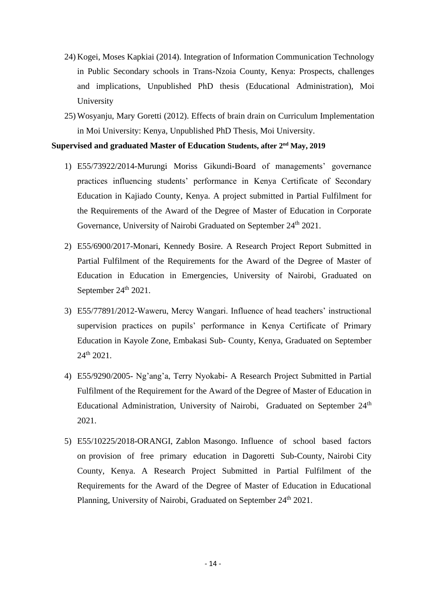- 24) Kogei, Moses Kapkiai (2014). Integration of Information Communication Technology in Public Secondary schools in Trans-Nzoia County, Kenya: Prospects, challenges and implications, Unpublished PhD thesis (Educational Administration), Moi University
- 25) Wosyanju, Mary Goretti (2012). Effects of brain drain on Curriculum Implementation in Moi University: Kenya, Unpublished PhD Thesis, Moi University.

# **Supervised and graduated Master of Education Students, after 2nd May, 2019**

- 1) E55/73922/2014-Murungi Moriss Gikundi-Board of managements' governance practices influencing students' performance in Kenya Certificate of Secondary Education in Kajiado County, Kenya. A project submitted in Partial Fulfilment for the Requirements of the Award of the Degree of Master of Education in Corporate Governance, University of Nairobi Graduated on September 24<sup>th</sup> 2021.
- 2) E55/6900/2017-Monari, Kennedy Bosire. A Research Project Report Submitted in Partial Fulfilment of the Requirements for the Award of the Degree of Master of Education in Education in Emergencies, University of Nairobi, Graduated on September 24<sup>th</sup> 2021.
- 3) E55/77891/2012-Waweru, Mercy Wangari. Influence of head teachers' instructional supervision practices on pupils' performance in Kenya Certificate of Primary Education in Kayole Zone, Embakasi Sub- County, Kenya, Graduated on September 24th 2021.
- 4) E55/9290/2005- Ng'ang'a, Terry Nyokabi- A Research Project Submitted in Partial Fulfilment of the Requirement for the Award of the Degree of Master of Education in Educational Administration, University of Nairobi, Graduated on September 24<sup>th</sup> 2021.
- 5) E55/10225/2018-ORANGI, Zablon Masongo. Influence of school based factors on provision of free primary education in Dagoretti Sub-County, Nairobi City County, Kenya. A Research Project Submitted in Partial Fulfilment of the Requirements for the Award of the Degree of Master of Education in Educational Planning, University of Nairobi, Graduated on September 24<sup>th</sup> 2021.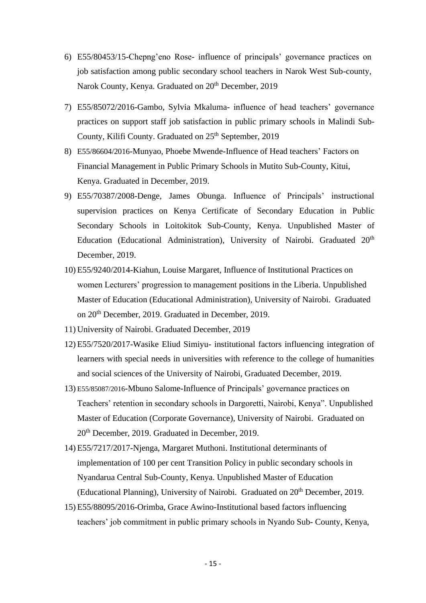- 6) E55/80453/15-Chepng'eno Rose- influence of principals' governance practices on job satisfaction among public secondary school teachers in Narok West Sub-county, Narok County, Kenya. Graduated on 20<sup>th</sup> December, 2019
- 7) E55/85072/2016-Gambo, Sylvia Mkaluma- influence of head teachers' governance practices on support staff job satisfaction in public primary schools in Malindi Sub-County, Kilifi County. Graduated on 25<sup>th</sup> September, 2019
- 8) E55/86604/2016-Munyao, Phoebe Mwende-Influence of Head teachers' Factors on Financial Management in Public Primary Schools in Mutito Sub-County, Kitui, Kenya. Graduated in December, 2019.
- 9) E55/70387/2008-Denge, James Obunga. Influence of Principals' instructional supervision practices on Kenya Certificate of Secondary Education in Public Secondary Schools in Loitokitok Sub-County, Kenya. Unpublished Master of Education (Educational Administration), University of Nairobi. Graduated 20<sup>th</sup> December, 2019.
- 10) E55/9240/2014-Kiahun, Louise Margaret, Influence of Institutional Practices on women Lecturers' progression to management positions in the Liberia. Unpublished Master of Education (Educational Administration), University of Nairobi. Graduated on 20th December, 2019. Graduated in December, 2019.
- 11) University of Nairobi. Graduated December, 2019
- 12) E55/7520/2017-Wasike Eliud Simiyu- institutional factors influencing integration of learners with special needs in universities with reference to the college of humanities and social sciences of the University of Nairobi, Graduated December, 2019.
- 13) E55/85087/2016-Mbuno Salome-Influence of Principals' governance practices on Teachers' retention in secondary schools in Dargoretti, Nairobi, Kenya". Unpublished Master of Education (Corporate Governance), University of Nairobi. Graduated on 20th December, 2019. Graduated in December, 2019.
- 14) E55/7217/2017-Njenga, Margaret Muthoni. Institutional determinants of implementation of 100 per cent Transition Policy in public secondary schools in Nyandarua Central Sub-County, Kenya. Unpublished Master of Education (Educational Planning), University of Nairobi. Graduated on  $20<sup>th</sup>$  December, 2019.
- 15) E55/88095/2016-Orimba, Grace Awino-Institutional based factors influencing teachers' job commitment in public primary schools in Nyando Sub- County, Kenya,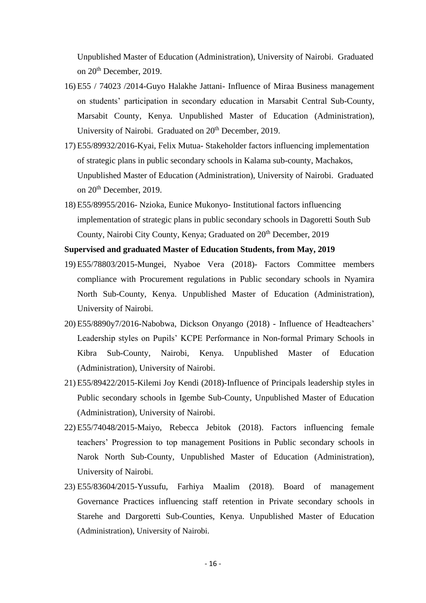Unpublished Master of Education (Administration), University of Nairobi. Graduated on 20th December, 2019.

- 16) E55 / 74023 /2014-Guyo Halakhe Jattani- Influence of Miraa Business management on students' participation in secondary education in Marsabit Central Sub-County, Marsabit County, Kenya. Unpublished Master of Education (Administration), University of Nairobi. Graduated on 20<sup>th</sup> December, 2019.
- 17) E55/89932/2016-Kyai, Felix Mutua- Stakeholder factors influencing implementation of strategic plans in public secondary schools in Kalama sub-county, Machakos, Unpublished Master of Education (Administration), University of Nairobi. Graduated on 20th December, 2019.
- 18) E55/89955/2016- Nzioka, Eunice Mukonyo- Institutional factors influencing implementation of strategic plans in public secondary schools in Dagoretti South Sub County, Nairobi City County, Kenya; Graduated on 20<sup>th</sup> December, 2019

**Supervised and graduated Master of Education Students, from May, 2019** 

- 19) E55/78803/2015-Mungei, Nyaboe Vera (2018)- Factors Committee members compliance with Procurement regulations in Public secondary schools in Nyamira North Sub-County, Kenya. Unpublished Master of Education (Administration), University of Nairobi.
- 20) E55/8890y7/2016-Nabobwa, Dickson Onyango (2018) Influence of Headteachers' Leadership styles on Pupils' KCPE Performance in Non-formal Primary Schools in Kibra Sub-County, Nairobi, Kenya. Unpublished Master of Education (Administration), University of Nairobi.
- 21) E55/89422/2015-Kilemi Joy Kendi (2018)-Influence of Principals leadership styles in Public secondary schools in Igembe Sub-County, Unpublished Master of Education (Administration), University of Nairobi.
- 22) E55/74048/2015-Maiyo, Rebecca Jebitok (2018). Factors influencing female teachers' Progression to top management Positions in Public secondary schools in Narok North Sub-County, Unpublished Master of Education (Administration), University of Nairobi.
- 23) E55/83604/2015-Yussufu, Farhiya Maalim (2018). Board of management Governance Practices influencing staff retention in Private secondary schools in Starehe and Dargoretti Sub-Counties, Kenya. Unpublished Master of Education (Administration), University of Nairobi.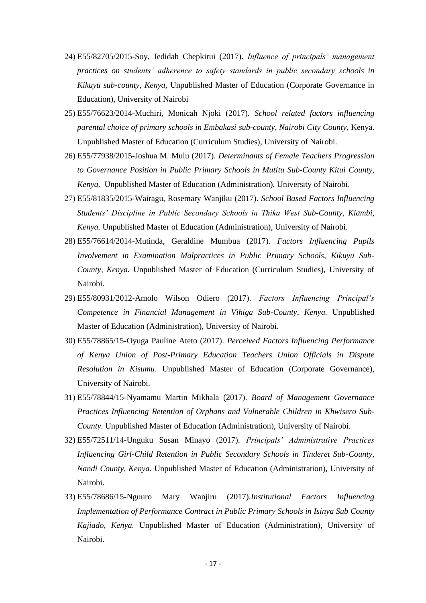- 24) E55/82705/2015-Soy, Jedidah Chepkirui (2017). *Influence of principals' management practices on students' adherence to safety standards in public secondary schools in Kikuyu sub-county, Kenya,* Unpublished Master of Education (Corporate Governance in Education), University of Nairobi
- 25) E55/76623/2014-Muchiri, Monicah Njoki (2017). *School related factors influencing parental choice of primary schools in Embakasi sub-county, Nairobi City County*, Kenya. Unpublished Master of Education (Curriculum Studies), University of Nairobi.
- 26) E55/77938/2015-Joshua M. Mulu (2017). *Determinants of Female Teachers Progression to Governance Position in Public Primary Schools in Mutitu Sub-County Kitui County, Kenya.* Unpublished Master of Education (Administration), University of Nairobi.
- 27) E55/81835/2015-Wairagu, Rosemary Wanjiku (2017). *School Based Factors Influencing Students' Discipline in Public Secondary Schools in Thika West Sub-County, Kiambi, Kenya.* Unpublished Master of Education (Administration), University of Nairobi.
- 28) E55/76614/2014-Mutinda, Geraldine Mumbua (2017). *Factors Influencing Pupils Involvement in Examination Malpractices in Public Primary Schools, Kikuyu Sub-County, Kenya.* Unpublished Master of Education (Curriculum Studies), University of Nairobi.
- 29) E55/80931/2012-Amolo Wilson Odiero (2017). *Factors Influencing Principal's Competence in Financial Management in Vihiga Sub-County, Kenya.* Unpublished Master of Education (Administration), University of Nairobi.
- 30) E55/78865/15-Oyuga Pauline Ateto (2017). *Perceived Factors Influencing Performance of Kenya Union of Post-Primary Education Teachers Union Officials in Dispute Resolution in Kisumu*. Unpublished Master of Education (Corporate Governance), University of Nairobi.
- 31) E55/78844/15-Nyamamu Martin Mikhala (2017). *Board of Management Governance Practices Influencing Retention of Orphans and Vulnerable Children in Khwisero Sub-County.* Unpublished Master of Education (Administration), University of Nairobi.
- 32) E55/72511/14-Unguku Susan Minayo (2017). *Principals' Administrative Practices Influencing Girl-Child Retention in Public Secondary Schools in Tinderet Sub-County, Nandi County, Kenya.* Unpublished Master of Education (Administration), University of Nairobi.
- 33) E55/78686/15-Nguuro Mary Wanjiru (2017).*Institutional Factors Influencing Implementation of Performance Contract in Public Primary Schools in Isinya Sub County Kajiado, Kenya.* Unpublished Master of Education (Administration), University of Nairobi.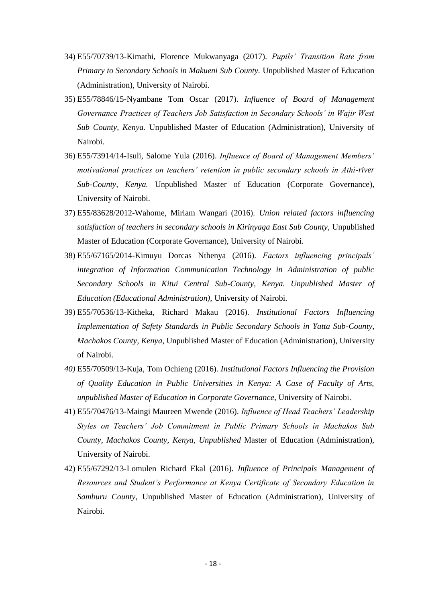- 34) E55/70739/13-Kimathi, Florence Mukwanyaga (2017). *Pupils' Transition Rate from Primary to Secondary Schools in Makueni Sub County.* Unpublished Master of Education (Administration), University of Nairobi.
- 35) E55/78846/15-Nyambane Tom Oscar (2017). *Influence of Board of Management Governance Practices of Teachers Job Satisfaction in Secondary Schools' in Wajir West Sub County, Kenya.* Unpublished Master of Education (Administration), University of Nairobi.
- 36) E55/73914/14-Isuli, Salome Yula (2016). *Influence of Board of Management Members' motivational practices on teachers' retention in public secondary schools in Athi-river Sub-County, Kenya.* Unpublished Master of Education (Corporate Governance), University of Nairobi.
- 37) E55/83628/2012-Wahome, Miriam Wangari (2016). *Union related factors influencing satisfaction of teachers in secondary schools in Kirinyaga East Sub County, Unpublished* Master of Education (Corporate Governance), University of Nairobi.
- 38) E55/67165/2014-Kimuyu Dorcas Nthenya (2016). *Factors influencing principals' integration of Information Communication Technology in Administration of public Secondary Schools in Kitui Central Sub-County, Kenya. Unpublished Master of Education (Educational Administration),* University of Nairobi.
- 39) E55/70536/13-Kitheka, Richard Makau (2016). *Institutional Factors Influencing Implementation of Safety Standards in Public Secondary Schools in Yatta Sub-County, Machakos County, Kenya,* Unpublished Master of Education (Administration), University of Nairobi.
- *40)* E55/70509/13-Kuja, Tom Ochieng (2016). *Institutional Factors Influencing the Provision of Quality Education in Public Universities in Kenya: A Case of Faculty of Arts, unpublished Master of Education in Corporate Governance,* University of Nairobi.
- 41) E55/70476/13-Maingi Maureen Mwende (2016). *Influence of Head Teachers' Leadership Styles on Teachers' Job Commitment in Public Primary Schools in Machakos Sub County, Machakos County, Kenya, Unpublished* Master of Education (Administration), University of Nairobi.
- 42) E55/67292/13-Lomulen Richard Ekal (2016). *Influence of Principals Management of Resources and Student's Performance at Kenya Certificate of Secondary Education in Samburu County,* Unpublished Master of Education (Administration), University of Nairobi.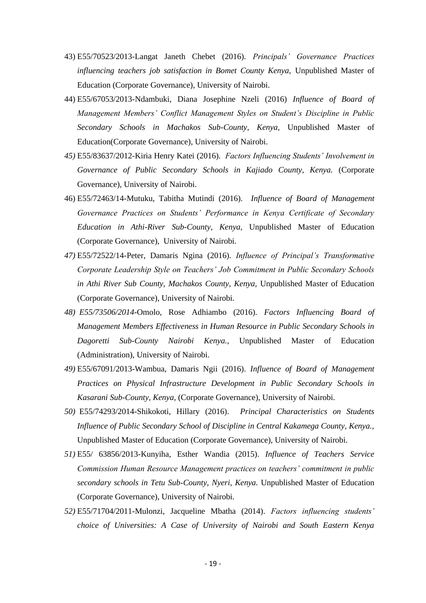- 43) E55/70523/2013*-*Langat Janeth Chebet (2016). *Principals' Governance Practices influencing teachers job satisfaction in Bomet County Kenya,* Unpublished Master of Education (Corporate Governance), University of Nairobi.
- 44) E55/67053/2013-Ndambuki, Diana Josephine Nzeli (2016) *Influence of Board of Management Members' Conflict Management Styles on Student's Discipline in Public Secondary Schools in Machakos Sub-County, Kenya,* Unpublished Master of Education(Corporate Governance), University of Nairobi.
- *45)* E55/83637/2012-Kiria Henry Katei (2016). *Factors Influencing Students' Involvement in Governance of Public Secondary Schools in Kajiado County, Kenya.* (Corporate Governance), University of Nairobi.
- 46) E55/72463/14-Mutuku, Tabitha Mutindi (2016). *Influence of Board of Management Governance Practices on Students' Performance in Kenya Certificate of Secondary Education in Athi-River Sub-County, Kenya,* Unpublished Master of Education (Corporate Governance), University of Nairobi.
- *47)* E55/72522/14-Peter, Damaris Ngina (2016). *Influence of Principal's Transformative Corporate Leadership Style on Teachers' Job Commitment in Public Secondary Schools in Athi River Sub County, Machakos County, Kenya,* Unpublished Master of Education (Corporate Governance), University of Nairobi.
- *48) E55/73506/2014-*Omolo, Rose Adhiambo (2016). *Factors Influencing Board of Management Members Effectiveness in Human Resource in Public Secondary Schools in Dagoretti Sub-County Nairobi Kenya.,* Unpublished Master of Education (Administration), University of Nairobi.
- *49)* E55/67091/2013-Wambua, Damaris Ngii (2016). *Influence of Board of Management Practices on Physical Infrastructure Development in Public Secondary Schools in Kasarani Sub-County, Kenya,* (Corporate Governance), University of Nairobi.
- *50)* E55/74293/2014-Shikokoti, Hillary (2016). *Principal Characteristics on Students Influence of Public Secondary School of Discipline in Central Kakamega County, Kenya.,* Unpublished Master of Education (Corporate Governance), University of Nairobi.
- *51)* E55/ 63856/2013-Kunyiha, Esther Wandia (2015). *Influence of Teachers Service Commission Human Resource Management practices on teachers' commitment in public secondary schools in Tetu Sub-County, Nyeri, Kenya.* Unpublished Master of Education (Corporate Governance), University of Nairobi.
- *52)* E55/71704/2011-Mulonzi, Jacqueline Mbatha (2014). *Factors influencing students' choice of Universities: A Case of University of Nairobi and South Eastern Kenya*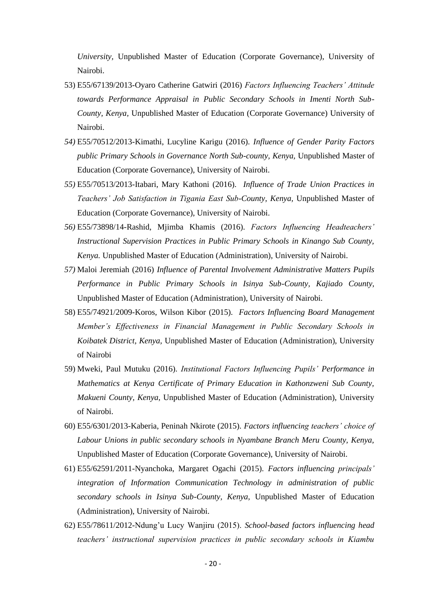*University,* Unpublished Master of Education (Corporate Governance), University of Nairobi.

- 53) E55/67139/2013-Oyaro Catherine Gatwiri (2016) *Factors Influencing Teachers' Attitude towards Performance Appraisal in Public Secondary Schools in Imenti North Sub-County, Kenya,* Unpublished Master of Education (Corporate Governance) University of Nairobi.
- *54)* E55/70512/2013-Kimathi, Lucyline Karigu (2016). *Influence of Gender Parity Factors public Primary Schools in Governance North Sub-county, Kenya,* Unpublished Master of Education (Corporate Governance), University of Nairobi.
- *55)* E55/70513/2013-Itabari, Mary Kathoni (2016). *Influence of Trade Union Practices in Teachers' Job Satisfaction in Tigania East Sub-County, Kenya,* Unpublished Master of Education (Corporate Governance), University of Nairobi.
- *56)* E55/73898/14-Rashid, Mjimba Khamis (2016). *Factors Influencing Headteachers' Instructional Supervision Practices in Public Primary Schools in Kinango Sub County, Kenya.* Unpublished Master of Education (Administration), University of Nairobi.
- *57)* Maloi Jeremiah (2016) *Influence of Parental Involvement Administrative Matters Pupils Performance in Public Primary Schools in Isinya Sub-County, Kajiado County,* Unpublished Master of Education (Administration), University of Nairobi.
- 58) E55/74921/2009-Koros, Wilson Kibor (2015). *Factors Influencing Board Management Member's Effectiveness in Financial Management in Public Secondary Schools in Koibatek District, Kenya,* Unpublished Master of Education (Administration), University of Nairobi
- 59) Mweki, Paul Mutuku (2016). *Institutional Factors Influencing Pupils' Performance in Mathematics at Kenya Certificate of Primary Education in Kathonzweni Sub County, Makueni County, Kenya,* Unpublished Master of Education (Administration), University of Nairobi.
- 60) E55/6301/2013-Kaberia, Peninah Nkirote (2015). *Factors influencing teachers' choice of Labour Unions in public secondary schools in Nyambane Branch Meru County, Kenya,*  Unpublished Master of Education (Corporate Governance), University of Nairobi.
- 61) E55/62591/2011-Nyanchoka, Margaret Ogachi (2015). *Factors influencing principals' integration of Information Communication Technology in administration of public secondary schools in Isinya Sub-County, Kenya,* Unpublished Master of Education (Administration), University of Nairobi.
- 62) E55/78611/2012-Ndung'u Lucy Wanjiru (2015). *School-based factors influencing head teachers' instructional supervision practices in public secondary schools in Kiambu*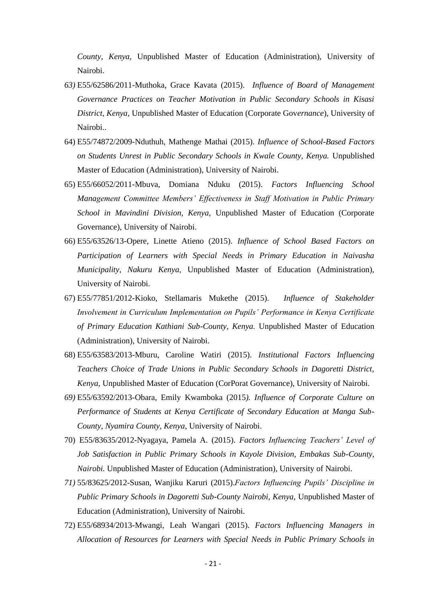*County, Kenya,* Unpublished Master of Education (Administration), University of Nairobi.

- *63)* E55/62586/2011-Muthoka, Grace Kavata (2015). *Influence of Board of Management Governance Practices on Teacher Motivation in Public Secondary Schools in Kisasi District, Kenya,* Unpublished Master of Education (Corporate Gov*ernance*), University of Nairobi..
- 64) E55/74872/2009-Nduthuh, Mathenge Mathai (2015). *Influence of School-Based Factors on Students Unrest in Public Secondary Schools in Kwale County, Kenya.* Unpublished Master of Education (Administration), University of Nairobi.
- 65) E55/66052/2011-Mbuva, Domiana Nduku (2015). *Factors Influencing School Management Committee Members' Effectiveness in Staff Motivation in Public Primary School in Mavindini Division, Kenya,* Unpublished Master of Education (Corporate Governance), University of Nairobi.
- 66) E55/63526/13-Opere, Linette Atieno (2015). *Influence of School Based Factors on Participation of Learners with Special Needs in Primary Education in Naivasha Municipality, Nakuru Kenya,* Unpublished Master of Education (Administration), University of Nairobi.
- 67) E55/77851/2012-Kioko, Stellamaris Mukethe (2015). *Influence of Stakeholder Involvement in Curriculum Implementation on Pupils' Performance in Kenya Certificate of Primary Education Kathiani Sub-County, Kenya.* Unpublished Master of Education (Administration), University of Nairobi.
- 68) E55/63583/2013-Mburu, Caroline Watiri (2015). *Institutional Factors Influencing Teachers Choice of Trade Unions in Public Secondary Schools in Dagoretti District, Kenya,* Unpublished Master of Education (CorPorat Governance), University of Nairobi.
- *69)* E55/63592/2013-Obara, Emily Kwamboka (2015*). Influence of Corporate Culture on Performance of Students at Kenya Certificate of Secondary Education at Manga Sub-County, Nyamira County, Kenya*, University of Nairobi.
- 70) E55/83635/2012-Nyagaya, Pamela A. (2015). *Factors Influencing Teachers' Level of Job Satisfaction in Public Primary Schools in Kayole Division, Embakas Sub-County, Nairobi.* Unpublished Master of Education (Administration), University of Nairobi.
- *71)* 55/83625/2012-Susan, Wanjiku Karuri (2015).*Factors Influencing Pupils' Discipline in Public Primary Schools in Dagoretti Sub-County Nairobi, Kenya,* Unpublished Master of Education (Administration), University of Nairobi.
- 72) E55/68934/2013-Mwangi, Leah Wangari (2015). *Factors Influencing Managers in Allocation of Resources for Learners with Special Needs in Public Primary Schools in*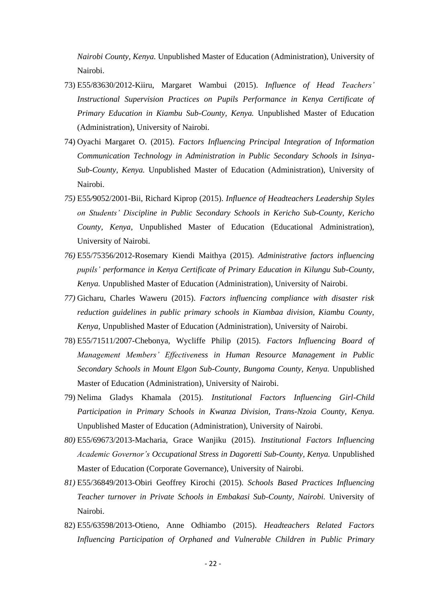*Nairobi County, Kenya.* Unpublished Master of Education (Administration), University of Nairobi.

- 73) E55/83630/2012-Kiiru, Margaret Wambui (2015). *Influence of Head Teachers' Instructional Supervision Practices on Pupils Performance in Kenya Certificate of Primary Education in Kiambu Sub-County, Kenya.* Unpublished Master of Education (Administration), University of Nairobi.
- 74) Oyachi Margaret O. (2015). *Factors Influencing Principal Integration of Information Communication Technology in Administration in Public Secondary Schools in Isinya-Sub-County, Kenya.* Unpublished Master of Education (Administration), University of Nairobi.
- *75)* E55*/*9052/2001-Bii, Richard Kiprop (2015). *Influence of Headteachers Leadership Styles on Students' Discipline in Public Secondary Schools in Kericho Sub-County, Kericho County, Kenya,* Unpublished Master of Education (Educational Administration), University of Nairobi.
- *76)* E55/75356/2012-Rosemary Kiendi Maithya (2015). *Administrative factors influencing pupils' performance in Kenya Certificate of Primary Education in Kilungu Sub-County, Kenya.* Unpublished Master of Education (Administration), University of Nairobi*.*
- *77)* Gicharu, Charles Waweru (2015). *Factors influencing compliance with disaster risk reduction guidelines in public primary schools in Kiambaa division, Kiambu County, Kenya,* Unpublished Master of Education (Administration), University of Nairobi.
- 78) E55/71511/2007-Chebonya, Wycliffe Philip (2015). *Factors Influencing Board of Management Members' Effectiveness in Human Resource Management in Public Secondary Schools in Mount Elgon Sub-County, Bungoma County, Kenya.* Unpublished Master of Education (Administration), University of Nairobi.
- 79) Nelima Gladys Khamala (2015). *Institutional Factors Influencing Girl-Child Participation in Primary Schools in Kwanza Division, Trans-Nzoia County, Kenya.*  Unpublished Master of Education (Administration), University of Nairobi.
- *80)* E55/69673/2013-Macharia, Grace Wanjiku (2015). *Institutional Factors Influencing Academic Governor's Occupational Stress in Dagoretti Sub-County, Kenya.* Unpublished Master of Education (Corporate Governance), University of Nairobi.
- *81)* E55/36849/2013-Obiri Geoffrey Kirochi (2015). *Schools Based Practices Influencing Teacher turnover in Private Schools in Embakasi Sub-County, Nairobi.* University of Nairobi.
- 82) E55/63598/2013-Otieno, Anne Odhiambo (2015). *Headteachers Related Factors Influencing Participation of Orphaned and Vulnerable Children in Public Primary*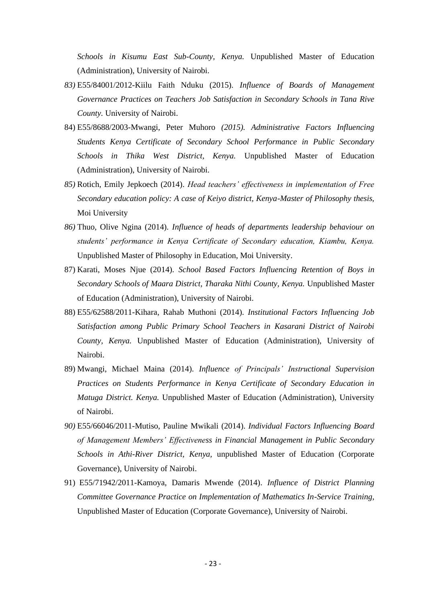*Schools in Kisumu East Sub-County, Kenya.* Unpublished Master of Education (Administration), University of Nairobi.

- *83)* E55/84001/2012-Kiilu Faith Nduku (2015). *Influence of Boards of Management Governance Practices on Teachers Job Satisfaction in Secondary Schools in Tana Rive County.* University of Nairobi.
- 84) E55/8688/2003-Mwangi, Peter Muhoro *(2015). Administrative Factors Influencing Students Kenya Certificate of Secondary School Performance in Public Secondary Schools in Thika West District, Kenya.* Unpublished Master of Education (Administration), University of Nairobi.
- *85)* Rotich, Emily Jepkoech (2014). *Head teachers' effectiveness in implementation of Free Secondary education policy: A case of Keiyo district, Kenya-Master of Philosophy thesis,*  Moi University
- *86)* Thuo, Olive Ngina (2014). *Influence of heads of departments leadership behaviour on students' performance in Kenya Certificate of Secondary education, Kiambu, Kenya.*  Unpublished Master of Philosophy in Education, Moi University.
- 87) Karati, Moses Njue (2014). *School Based Factors Influencing Retention of Boys in Secondary Schools of Maara District, Tharaka Nithi County, Kenya.* Unpublished Master of Education (Administration), University of Nairobi.
- 88) E55/62588/2011-Kihara, Rahab Muthoni (2014). *Institutional Factors Influencing Job Satisfaction among Public Primary School Teachers in Kasarani District of Nairobi County, Kenya.* Unpublished Master of Education (Administration), University of Nairobi.
- 89) Mwangi, Michael Maina (2014). *Influence of Principals' Instructional Supervision Practices on Students Performance in Kenya Certificate of Secondary Education in Matuga District. Kenya.* Unpublished Master of Education (Administration), University of Nairobi.
- *90)* E55/66046/2011-Mutiso, Pauline Mwikali (2014). *Individual Factors Influencing Board of Management Members' Effectiveness in Financial Management in Public Secondary Schools in Athi-River District, Kenya,* unpublished Master of Education (Corporate Governance), University of Nairobi.
- 91) E55/71942/2011-Kamoya, Damaris Mwende (2014). *Influence of District Planning Committee Governance Practice on Implementation of Mathematics In-Service Training,* Unpublished Master of Education (Corporate Governance), University of Nairobi.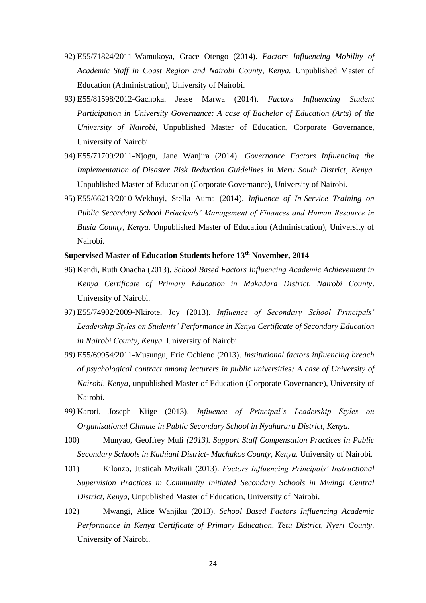- 92) E55/71824/2011-Wamukoya, Grace Otengo (2014). *Factors Influencing Mobility of Academic Staff in Coast Region and Nairobi County, Kenya.* Unpublished Master of Education (Administration), University of Nairobi.
- *93)* E55/81598/2012-Gachoka, Jesse Marwa (2014). *Factors Influencing Student Participation in University Governance: A case of Bachelor of Education (Arts) of the University of Nairobi,* Unpublished Master of Education, Corporate Governance, University of Nairobi.
- 94) E55/71709/2011-Njogu, Jane Wanjira (2014). *Governance Factors Influencing the Implementation of Disaster Risk Reduction Guidelines in Meru South District, Kenya.*  Unpublished Master of Education (Corporate Governance), University of Nairobi.
- 95) E55/66213/2010-Wekhuyi, Stella Auma (2014). *Influence of In-Service Training on Public Secondary School Principals' Management of Finances and Human Resource in Busia County, Kenya.* Unpublished Master of Education (Administration), University of Nairobi.

### **Supervised Master of Education Students before 13th November, 2014**

- 96) Kendi, Ruth Onacha (2013). *School Based Factors Influencing Academic Achievement in Kenya Certificate of Primary Education in Makadara District, Nairobi County*. University of Nairobi.
- 97) E55/74902/2009-Nkirote, Joy (2013). *Influence of Secondary School Principals' Leadership Styles on Students' Performance in Kenya Certificate of Secondary Education in Nairobi County, Kenya.* University of Nairobi.
- *98)* E55/69954/2011-Musungu, Eric Ochieno (2013). *Institutional factors influencing breach of psychological contract among lecturers in public universities: A case of University of Nairobi, Kenya,* unpublished Master of Education (Corporate Governance), University of Nairobi*.*
- *99)* Karori, Joseph Kiige (2013). *Influence of Principal's Leadership Styles on Organisational Climate in Public Secondary School in Nyahururu District, Kenya.*
- 100) Munyao, Geoffrey Muli *(2013). Support Staff Compensation Practices in Public Secondary Schools in Kathiani District- Machakos County, Kenya.* University of Nairobi.
- 101) Kilonzo, Justicah Mwikali (2013). *Factors Influencing Principals' Instructional Supervision Practices in Community Initiated Secondary Schools in Mwingi Central District, Kenya,* Unpublished Master of Education, University of Nairobi.
- 102) Mwangi, Alice Wanjiku (2013). *School Based Factors Influencing Academic Performance in Kenya Certificate of Primary Education, Tetu District, Nyeri County.*  University of Nairobi.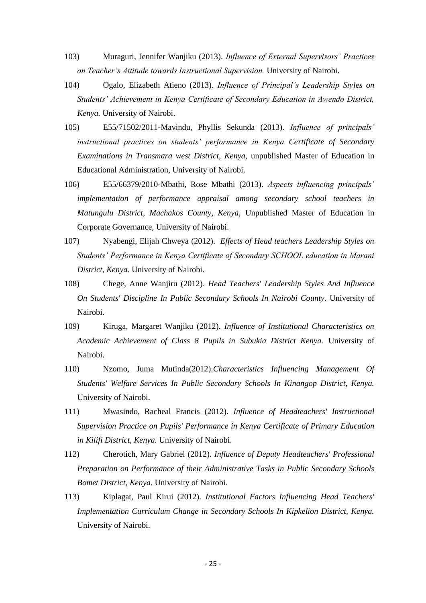- 103) Muraguri, Jennifer Wanjiku (2013). *Influence of External Supervisors' Practices on Teacher's Attitude towards Instructional Supervision.* University of Nairobi.
- 104) Ogalo, Elizabeth Atieno (2013). *Influence of Principal's Leadership Styles on Students' Achievement in Kenya Certificate of Secondary Education in Awendo District, Kenya.* University of Nairobi.
- 105) E55/71502/2011-Mavindu, Phyllis Sekunda (2013). *Influence of principals' instructional practices on students' performance in Kenya Certificate of Secondary Examinations in Transmara west District, Kenya,* unpublished Master of Education in Educational Administration, University of Nairobi.
- 106) E55/66379/2010-Mbathi, Rose Mbathi (2013). *Aspects influencing principals' implementation of performance appraisal among secondary school teachers in Matungulu District, Machakos County, Kenya,* Unpublished Master of Education in Corporate Governance, University of Nairobi.
- 107) Nyabengi, Elijah Chweya (2012). *Effects of Head teachers Leadership Styles on Students' Performance in Kenya Certificate of Secondary SCHOOL education in Marani District, Kenya.* University of Nairobi.
- 108) Chege, Anne Wanjiru (2012). *Head Teachers' Leadership Styles And Influence On Students' Discipline In Public Secondary Schools In Nairobi County*. University of Nairobi.
- 109) Kiruga, Margaret Wanjiku (2012). *Influence of Institutional Characteristics on Academic Achievement of Class 8 Pupils in Subukia District Kenya.* University of Nairobi.
- 110) Nzomo, Juma Mutinda(2012).*Characteristics Influencing Management Of Students' Welfare Services In Public Secondary Schools In Kinangop District, Kenya.*  University of Nairobi.
- 111) Mwasindo, Racheal Francis (2012). *Influence of Headteachers' Instructional Supervision Practice on Pupils' Performance in Kenya Certificate of Primary Education in Kilifi District, Kenya.* University of Nairobi.
- 112) Cherotich, Mary Gabriel (2012). *Influence of Deputy Headteachers' Professional Preparation on Performance of their Administrative Tasks in Public Secondary Schools Bomet District, Kenya.* University of Nairobi.
- 113) Kiplagat, Paul Kirui (2012). *Institutional Factors Influencing Head Teachers' Implementation Curriculum Change in Secondary Schools In Kipkelion District, Kenya.*  University of Nairobi.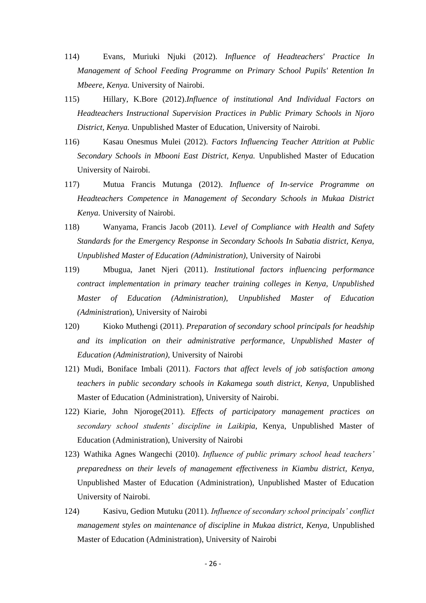- 114) Evans, Muriuki Njuki (2012). *Influence of Headteachers' Practice In Management of School Feeding Programme on Primary School Pupils' Retention In Mbeere, Kenya.* University of Nairobi.
- 115) Hillary, K.Bore (2012).*Influence of institutional And Individual Factors on Headteachers Instructional Supervision Practices in Public Primary Schools in Njoro District, Kenya.* Unpublished Master of Education, University of Nairobi.
- 116) Kasau Onesmus Mulei (2012). *Factors Influencing Teacher Attrition at Public Secondary Schools in Mbooni East District, Kenya.* Unpublished Master of Education University of Nairobi.
- 117) Mutua Francis Mutunga (2012). *Influence of In-service Programme on Headteachers Competence in Management of Secondary Schools in Mukaa District Kenya.* University of Nairobi.
- 118) Wanyama, Francis Jacob (2011). *Level of Compliance with Health and Safety Standards for the Emergency Response in Secondary Schools In Sabatia district, Kenya, Unpublished Master of Education (Administration),* University of Nairobi
- 119) Mbugua, Janet Njeri (2011). *Institutional factors influencing performance contract implementation in primary teacher training colleges in Kenya, Unpublished Master of Education (Administration), Unpublished Master of Education (Administrat*ion), University of Nairobi
- 120) Kioko Muthengi (2011). *Preparation of secondary school principals for headship and its implication on their administrative performance, Unpublished Master of Education (Administration),* University of Nairobi
- 121) Mudi, Boniface Imbali (2011). *Factors that affect levels of job satisfaction among teachers in public secondary schools in Kakamega south district, Kenya,* Unpublished Master of Education (Administration), University of Nairobi.
- 122) Kiarie, John Njoroge(2011). *Effects of participatory management practices on secondary school students' discipline in Laikipia*, Kenya, Unpublished Master of Education (Administration), University of Nairobi
- 123) Wathika Agnes Wangechi (2010). *Influence of public primary school head teachers' preparedness on their levels of management effectiveness in Kiambu district, Kenya,* Unpublished Master of Education (Administration), Unpublished Master of Education University of Nairobi.
- 124) Kasivu, Gedion Mutuku (2011). *Influence of secondary school principals' conflict management styles on maintenance of discipline in Mukaa district, Kenya,* Unpublished Master of Education (Administration), University of Nairobi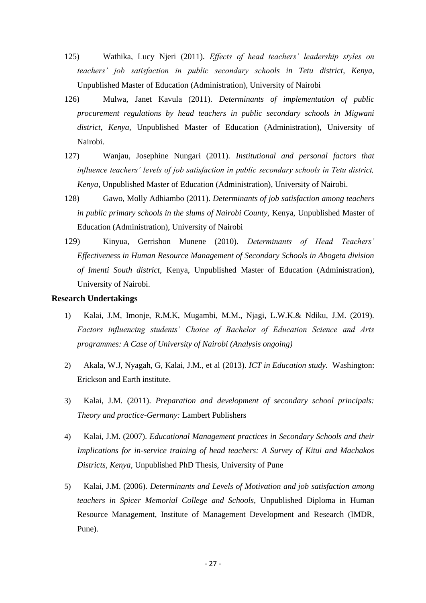- 125) Wathika, Lucy Njeri (2011). *Effects of head teachers' leadership styles on teachers' job satisfaction in public secondary schools in Tetu district, Kenya,* Unpublished Master of Education (Administration), University of Nairobi
- 126) Mulwa, Janet Kavula (2011). *Determinants of implementation of public procurement regulations by head teachers in public secondary schools in Migwani district, Kenya,* Unpublished Master of Education (Administration), University of Nairobi.
- 127) Wanjau, Josephine Nungari (2011). *Institutional and personal factors that influence teachers' levels of job satisfaction in public secondary schools in Tetu district, Kenya,* Unpublished Master of Education (Administration), University of Nairobi.
- 128) Gawo, Molly Adhiambo (2011). *Determinants of job satisfaction among teachers in public primary schools in the slums of Nairobi County,* Kenya, Unpublished Master of Education (Administration), University of Nairobi
- 129) Kinyua, Gerrishon Munene (2010). *Determinants of Head Teachers' Effectiveness in Human Resource Management of Secondary Schools in Abogeta division of Imenti South district,* Kenya, Unpublished Master of Education (Administration), University of Nairobi.

### **Research Undertakings**

- 1) Kalai, J.M, Imonje, R.M.K, Mugambi, M.M., Njagi, L.W.K.& Ndiku, J.M. (2019). *Factors influencing students' Choice of Bachelor of Education Science and Arts programmes: A Case of University of Nairobi (Analysis ongoing)*
- 2) Akala, W.J, Nyagah, G, Kalai, J.M., et al (2013). *ICT in Education study.* Washington: Erickson and Earth institute.
- 3) Kalai, J.M. (2011). *Preparation and development of secondary school principals: Theory and practice*-*Germany:* Lambert Publishers
- 4) Kalai, J.M. (2007). *Educational Management practices in Secondary Schools and their Implications for in-service training of head teachers: A Survey of Kitui and Machakos Districts, Kenya,* Unpublished PhD Thesis, University of Pune
- 5) Kalai, J.M. (2006). *Determinants and Levels of Motivation and job satisfaction among teachers in Spicer Memorial College and Schools,* Unpublished Diploma in Human Resource Management, Institute of Management Development and Research (IMDR, Pune).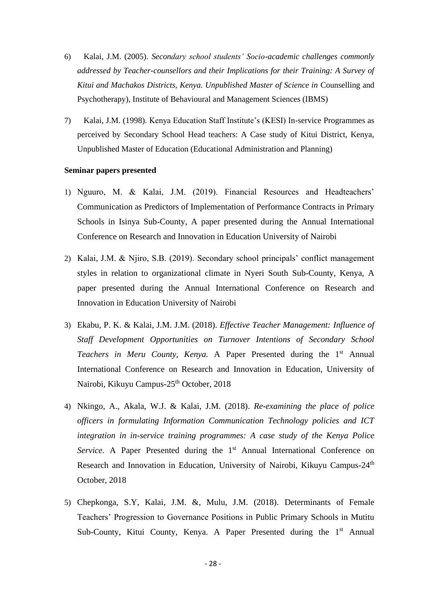- 6) Kalai, J.M. (2005). *Secondary school students' Socio-academic challenges commonly addressed by Teacher-counsellors and their Implications for their Training: A Survey of Kitui and Machakos Districts, Kenya. Unpublished Master of Science in* Counselling and Psychotherapy), Institute of Behavioural and Management Sciences (IBMS)
- 7) Kalai, J.M. (1998). Kenya Education Staff Institute's (KESI) In-service Programmes as perceived by Secondary School Head teachers: A Case study of Kitui District, Kenya, Unpublished Master of Education (Educational Administration and Planning)

#### **Seminar papers presented**

- 1) Nguuro, M. & Kalai, J.M. (2019). Financial Resources and Headteachers' Communication as Predictors of Implementation of Performance Contracts in Primary Schools in Isinya Sub-County, A paper presented during the Annual International Conference on Research and Innovation in Education University of Nairobi
- 2) Kalai, J.M. & Njiro, S.B. (2019). Secondary school principals' conflict management styles in relation to organizational climate in Nyeri South Sub-County, Kenya, A paper presented during the Annual International Conference on Research and Innovation in Education University of Nairobi
- 3) Ekabu, P. K. & Kalai, J.M. J.M. (2018). *Effective Teacher Management: Influence of Staff Development Opportunities on Turnover Intentions of Secondary School*  Teachers in Meru County, Kenya. A Paper Presented during the 1<sup>st</sup> Annual International Conference on Research and Innovation in Education, University of Nairobi, Kikuyu Campus-25<sup>th</sup> October, 2018
- 4) Nkingo, A., Akala, W.J. & Kalai, J.M. (2018). *Re-examining the place of police officers in formulating Information Communication Technology policies and ICT integration in in-service training programmes: A case study of the Kenya Police*  Service. A Paper Presented during the 1<sup>st</sup> Annual International Conference on Research and Innovation in Education, University of Nairobi, Kikuyu Campus-24<sup>th</sup> October, 2018
- 5) Chepkonga, S.Y, Kalai, J.M. &, Mulu, J.M. (2018). Determinants of Female Teachers' Progression to Governance Positions in Public Primary Schools in Mutitu Sub-County, Kitui County, Kenya. A Paper Presented during the 1<sup>st</sup> Annual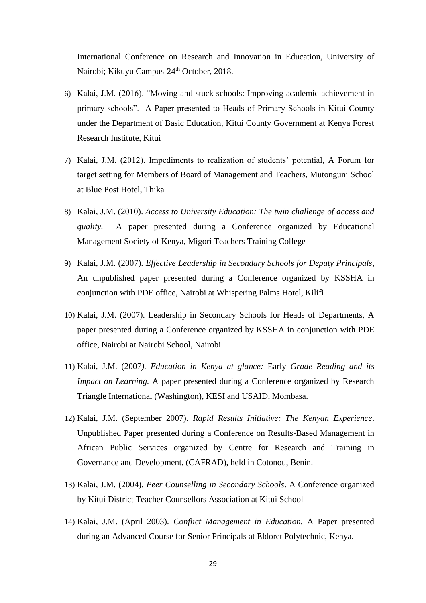International Conference on Research and Innovation in Education, University of Nairobi; Kikuyu Campus-24<sup>th</sup> October, 2018.

- 6) Kalai, J.M. (2016). "Moving and stuck schools: Improving academic achievement in primary schools". A Paper presented to Heads of Primary Schools in Kitui County under the Department of Basic Education, Kitui County Government at Kenya Forest Research Institute, Kitui
- 7) Kalai, J.M. (2012). Impediments to realization of students' potential, A Forum for target setting for Members of Board of Management and Teachers, Mutonguni School at Blue Post Hotel, Thika
- 8) Kalai, J.M. (2010). *Access to University Education: The twin challenge of access and quality.* A paper presented during a Conference organized by Educational Management Society of Kenya, Migori Teachers Training College
- 9) Kalai, J.M. (2007). *Effective Leadership in Secondary Schools for Deputy Principals*, An unpublished paper presented during a Conference organized by KSSHA in conjunction with PDE office, Nairobi at Whispering Palms Hotel, Kilifi
- 10) Kalai, J.M. (2007). Leadership in Secondary Schools for Heads of Departments, A paper presented during a Conference organized by KSSHA in conjunction with PDE office, Nairobi at Nairobi School, Nairobi
- 11) Kalai, J.M. (2007*). Education in Kenya at glance:* Early *Grade Reading and its Impact on Learning.* A paper presented during a Conference organized by Research Triangle International (Washington), KESI and USAID, Mombasa.
- 12) Kalai, J.M. (September 2007). *Rapid Results Initiative: The Kenyan Experience*. Unpublished Paper presented during a Conference on Results-Based Management in African Public Services organized by Centre for Research and Training in Governance and Development, (CAFRAD), held in Cotonou, Benin.
- 13) Kalai, J.M. (2004). *Peer Counselling in Secondary Schools*. A Conference organized by Kitui District Teacher Counsellors Association at Kitui School
- 14) Kalai, J.M. (April 2003). *Conflict Management in Education.* A Paper presented during an Advanced Course for Senior Principals at Eldoret Polytechnic, Kenya.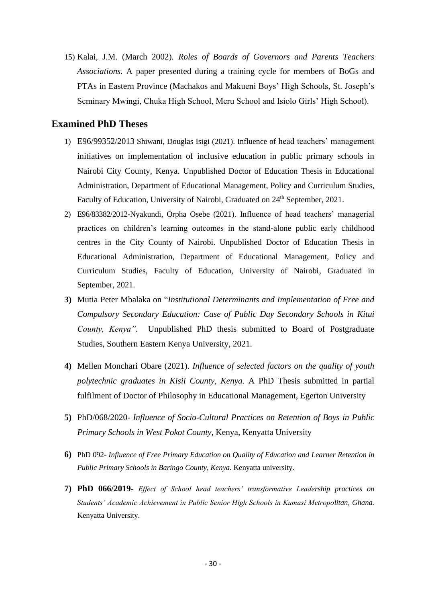15) Kalai, J.M. (March 2002). *Roles of Boards of Governors and Parents Teachers Associations.* A paper presented during a training cycle for members of BoGs and PTAs in Eastern Province (Machakos and Makueni Boys' High Schools, St. Joseph's Seminary Mwingi, Chuka High School, Meru School and Isiolo Girls' High School).

# **Examined PhD Theses**

- 1) E96/99352/2013 Shiwani, Douglas Isigi (2021). Influence of head teachers' management initiatives on implementation of inclusive education in public primary schools in Nairobi City County, Kenya. Unpublished Doctor of Education Thesis in Educational Administration, Department of Educational Management, Policy and Curriculum Studies, Faculty of Education, University of Nairobi, Graduated on 24<sup>th</sup> September, 2021.
- 2) E96/83382/2012**-**Nyakundi, Orpha Osebe (2021). Influence of head teachers' managerial practices on children's learning outcomes in the stand-alone public early childhood centres in the City County of Nairobi. Unpublished Doctor of Education Thesis in Educational Administration, Department of Educational Management, Policy and Curriculum Studies, Faculty of Education, University of Nairobi, Graduated in September, 2021.
- **3)** Mutia Peter Mbalaka on "*Institutional Determinants and Implementation of Free and Compulsory Secondary Education: Case of Public Day Secondary Schools in Kitui County, Kenya".* Unpublished PhD thesis submitted to Board of Postgraduate Studies, Southern Eastern Kenya University, 2021.
- **4)** Mellen Monchari Obare (2021). *Influence of selected factors on the quality of youth polytechnic graduates in Kisii County, Kenya.* A PhD Thesis submitted in partial fulfilment of Doctor of Philosophy in Educational Management, Egerton University
- **5)** PhD/068/2020- *Influence of Socio-Cultural Practices on Retention of Boys in Public Primary Schools in West Pokot County,* Kenya, Kenyatta University
- **6)** PhD 092- *Influence of Free Primary Education on Quality of Education and Learner Retention in Public Primary Schools in Baringo County, Kenya.* Kenyatta university.
- **7) PhD 066/2019-** *Effect of School head teachers' transformative Leadership practices on Students' Academic Achievement in Public Senior High Schools in Kumasi Metropolitan, Ghana.*  Kenyatta University.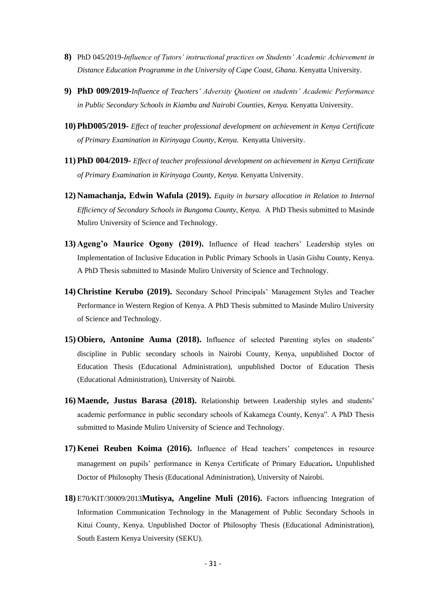- **8)** PhD 045/2019-*Influence of Tutors' instructional practices on Students' Academic Achievement in Distance Education Programme in the University of Cape Coast, Ghana.* Kenyatta University.
- **9) PhD 009/2019-***Influence of Teachers' Adversity Quotient on students' Academic Performance in Public Secondary Schools in Kiambu and Nairobi Counties, Kenya.* Kenyatta University.
- **10) PhD005/2019-** *Effect of teacher professional development on achievement in Kenya Certificate of Primary Examination in Kirinyaga County, Kenya.* Kenyatta University.
- **11) PhD 004/2019-** *Effect of teacher professional development on achievement in Kenya Certificate of Primary Examination in Kirinyaga County, Kenya.* Kenyatta University.
- **12) Namachanja, Edwin Wafula (2019).** *Equity in bursary allocation in Relation to Internal Efficiency of Secondary Schools in Bungoma County, Kenya.* A PhD Thesis submitted to Masinde Muliro University of Science and Technology.
- **13) Ageng'o Maurice Ogony (2019).** Influence of Head teachers' Leadership styles on Implementation of Inclusive Education in Public Primary Schools in Uasin Gishu County, Kenya. A PhD Thesis submitted to Masinde Muliro University of Science and Technology.
- **14) Christine Kerubo (2019).** Secondary School Principals' Management Styles and Teacher Performance in Western Region of Kenya. A PhD Thesis submitted to Masinde Muliro University of Science and Technology.
- **15) Obiero, Antonine Auma (2018).** Influence of selected Parenting styles on students' discipline in Public secondary schools in Nairobi County, Kenya, unpublished Doctor of Education Thesis (Educational Administration), unpublished Doctor of Education Thesis (Educational Administration), University of Nairobi.
- **16) Maende, Justus Barasa (2018).** Relationship between Leadership styles and students' academic performance in public secondary schools of Kakamega County, Kenya". A PhD Thesis submitted to Masinde Muliro University of Science and Technology.
- **17) Kenei Reuben Koima (2016).** Influence of Head teachers' competences in resource management on pupils' performance in Kenya Certificate of Primary Education**.** Unpublished Doctor of Philosophy Thesis (Educational Administration), University of Nairobi.
- **18)** E70/KIT/30009/2013**Mutisya, Angeline Muli (2016).** Factors influencing Integration of Information Communication Technology in the Management of Public Secondary Schools in Kitui County, Kenya. Unpublished Doctor of Philosophy Thesis (Educational Administration), South Eastern Kenya University (SEKU).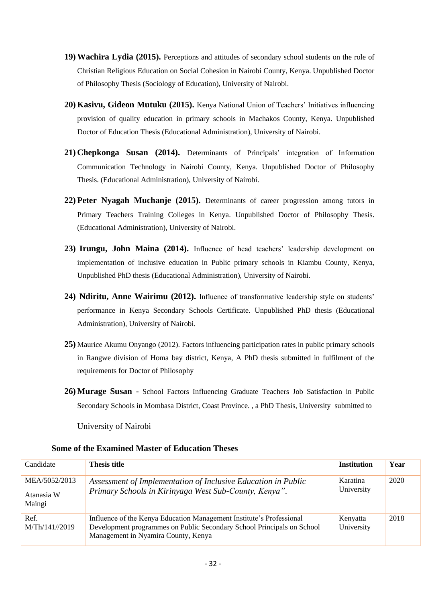- **19) Wachira Lydia (2015).** Perceptions and attitudes of secondary school students on the role of Christian Religious Education on Social Cohesion in Nairobi County, Kenya. Unpublished Doctor of Philosophy Thesis (Sociology of Education), University of Nairobi.
- **20) Kasivu, Gideon Mutuku (2015).** Kenya National Union of Teachers' Initiatives influencing provision of quality education in primary schools in Machakos County, Kenya. Unpublished Doctor of Education Thesis (Educational Administration), University of Nairobi.
- **21) Chepkonga Susan (2014).** Determinants of Principals' integration of Information Communication Technology in Nairobi County, Kenya. Unpublished Doctor of Philosophy Thesis. (Educational Administration), University of Nairobi.
- **22) Peter Nyagah Muchanje (2015).** Determinants of career progression among tutors in Primary Teachers Training Colleges in Kenya. Unpublished Doctor of Philosophy Thesis. (Educational Administration), University of Nairobi.
- **23) Irungu, John Maina (2014).** Influence of head teachers' leadership development on implementation of inclusive education in Public primary schools in Kiambu County, Kenya, Unpublished PhD thesis (Educational Administration), University of Nairobi.
- **24) Ndiritu, Anne Wairimu (2012).** Influence of transformative leadership style on students' performance in Kenya Secondary Schools Certificate. Unpublished PhD thesis (Educational Administration), University of Nairobi.
- **25)** Maurice Akumu Onyango (2012). Factors influencing participation rates in public primary schools in Rangwe division of Homa bay district, Kenya, A PhD thesis submitted in fulfilment of the requirements for Doctor of Philosophy
- **26) Murage Susan -** School Factors Influencing Graduate Teachers Job Satisfaction in Public Secondary Schools in Mombasa District, Coast Province. , a PhD Thesis, University submitted to

University of Nairobi

## **Some of the Examined Master of Education Theses**

| Candidate                             | <b>Thesis title</b>                                                                                                                                                                   | <b>Institution</b>     | Year |
|---------------------------------------|---------------------------------------------------------------------------------------------------------------------------------------------------------------------------------------|------------------------|------|
| MEA/5052/2013<br>Atanasia W<br>Maingi | Assessment of Implementation of Inclusive Education in Public<br>Primary Schools in Kirinyaga West Sub-County, Kenya".                                                                | Karatina<br>University | 2020 |
| Ref.<br>M/Th/141//2019                | Influence of the Kenya Education Management Institute's Professional<br>Development programmes on Public Secondary School Principals on School<br>Management in Nyamira County, Kenya | Kenyatta<br>University | 2018 |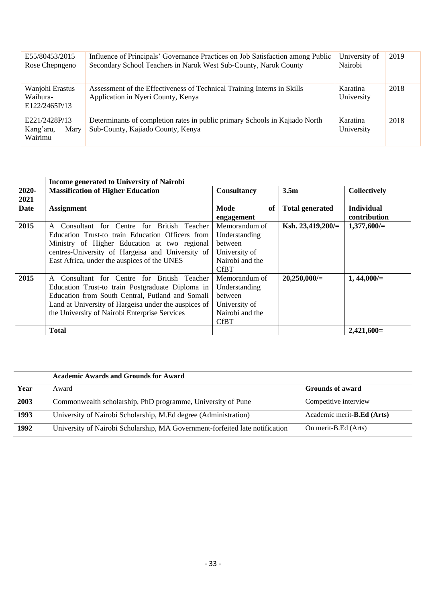| E55/80453/2015<br>Rose Chepngeno              | Influence of Principals' Governance Practices on Job Satisfaction among Public<br>Secondary School Teachers in Narok West Sub-County, Narok County | University of<br>Nairobi | 2019 |
|-----------------------------------------------|----------------------------------------------------------------------------------------------------------------------------------------------------|--------------------------|------|
| Wanjohi Erastus<br>Waihura-<br>E122/2465P/13  | Assessment of the Effectiveness of Technical Training Interns in Skills<br>Application in Nyeri County, Kenya                                      | Karatina<br>University   | 2018 |
| E221/2428P/13<br>Kang'aru,<br>Mary<br>Wairimu | Determinants of completion rates in public primary Schools in Kajiado North<br>Sub-County, Kajiado County, Kenya                                   | Karatina<br>University   | 2018 |

|             | <b>Income generated to University of Nairobi</b>     |                    |                        |                     |
|-------------|------------------------------------------------------|--------------------|------------------------|---------------------|
| $2020 -$    | <b>Massification of Higher Education</b>             | <b>Consultancy</b> | 3.5 <sub>m</sub>       | <b>Collectively</b> |
| 2021        |                                                      |                    |                        |                     |
| <b>Date</b> | <b>Assignment</b>                                    | Mode<br>of         | <b>Total generated</b> | <b>Individual</b>   |
|             |                                                      | engagement         |                        | contribution        |
| 2015        | Consultant for Centre for British Teacher<br>A       | Memorandum of      | Ksh. $23,419,200/=$    | $1,377,600/=$       |
|             | Education Trust-to train Education Officers from     | Understanding      |                        |                     |
|             | Ministry of Higher Education at two regional         | <b>between</b>     |                        |                     |
|             | centres-University of Hargeisa and University of     | University of      |                        |                     |
|             | East Africa, under the auspices of the UNES          | Nairobi and the    |                        |                     |
|             |                                                      | <b>CfBT</b>        |                        |                     |
| 2015        | Consultant for Centre for British Teacher<br>A       | Memorandum of      | 20,250,000/            | $1,44,000/=$        |
|             | Education Trust-to train Postgraduate Diploma in     | Understanding      |                        |                     |
|             | Education from South Central, Putland and Somali     | between            |                        |                     |
|             | Land at University of Hargeisa under the auspices of | University of      |                        |                     |
|             | the University of Nairobi Enterprise Services        | Nairobi and the    |                        |                     |
|             |                                                      | <b>CfBT</b>        |                        |                     |
|             | <b>Total</b>                                         |                    |                        | $2,421,600=$        |

|      | <b>Academic Awards and Grounds for Award</b>                                 |                                    |  |
|------|------------------------------------------------------------------------------|------------------------------------|--|
| Year | Award                                                                        | <b>Grounds of award</b>            |  |
| 2003 | Commonwealth scholarship, PhD programme, University of Pune                  | Competitive interview              |  |
| 1993 | University of Nairobi Scholarship, M.Ed degree (Administration)              | Academic merit- <b>B.Ed</b> (Arts) |  |
| 1992 | University of Nairobi Scholarship, MA Government-forfeited late notification | On merit-B.Ed (Arts)               |  |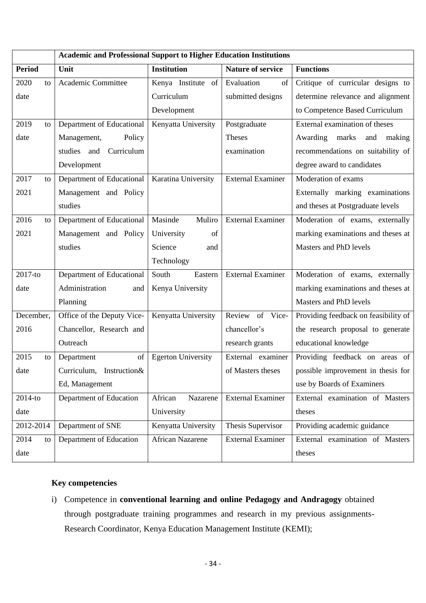|               | <b>Academic and Professional Support to Higher Education Institutions</b> |                           |                          |                                      |
|---------------|---------------------------------------------------------------------------|---------------------------|--------------------------|--------------------------------------|
| <b>Period</b> | Unit                                                                      | <b>Institution</b>        | <b>Nature of service</b> | <b>Functions</b>                     |
| 2020<br>to    | Academic Committee                                                        | Kenya Institute of        | Evaluation<br>of         | Critique of curricular designs to    |
| date          |                                                                           | Curriculum                | submitted designs        | determine relevance and alignment    |
|               |                                                                           | Development               |                          | to Competence Based Curriculum       |
| 2019<br>to    | Department of Educational                                                 | Kenyatta University       | Postgraduate             | External examination of theses       |
| date          | Management,<br>Policy                                                     |                           | <b>Theses</b>            | Awarding marks<br>and<br>making      |
|               | Curriculum<br>studies and                                                 |                           | examination              | recommendations on suitability of    |
|               | Development                                                               |                           |                          | degree award to candidates           |
| 2017<br>to    | Department of Educational                                                 | Karatina University       | <b>External Examiner</b> | Moderation of exams                  |
| 2021          | Management and Policy                                                     |                           |                          | Externally marking examinations      |
|               | studies                                                                   |                           |                          | and theses at Postgraduate levels    |
| 2016<br>to    | Department of Educational                                                 | Masinde<br>Muliro         | <b>External Examiner</b> | Moderation of exams, externally      |
| 2021          | Management and Policy                                                     | University<br>of          |                          | marking examinations and theses at   |
|               | studies                                                                   | Science<br>and            |                          | Masters and PhD levels               |
|               |                                                                           | Technology                |                          |                                      |
| 2017-to       | Department of Educational                                                 | South<br>Eastern          | <b>External Examiner</b> | Moderation of exams, externally      |
| date          | Administration<br>and                                                     | Kenya University          |                          | marking examinations and theses at   |
|               | Planning                                                                  |                           |                          | Masters and PhD levels               |
| December,     | Office of the Deputy Vice-                                                | Kenyatta University       | Review of Vice-          | Providing feedback on feasibility of |
| 2016          | Chancellor, Research and                                                  |                           | chancellor's             | the research proposal to generate    |
|               | Outreach                                                                  |                           | research grants          | educational knowledge                |
| 2015<br>to    | of<br>Department                                                          | <b>Egerton University</b> | External examiner        | Providing feedback on areas of       |
| date          | Curriculum, Instruction&                                                  |                           | of Masters theses        | possible improvement in thesis for   |
|               | Ed, Management                                                            |                           |                          | use by Boards of Examiners           |
| 2014-to       | Department of Education                                                   | African<br>Nazarene       | <b>External Examiner</b> | External examination of Masters      |
| date          |                                                                           | University                |                          | theses                               |
| 2012-2014     | Department of SNE                                                         | Kenyatta University       | Thesis Supervisor        | Providing academic guidance          |
| 2014<br>to    | Department of Education                                                   | <b>African Nazarene</b>   | <b>External Examiner</b> | External examination of Masters      |
| date          |                                                                           |                           |                          | theses                               |

# **Key competencies**

i) Competence in **conventional learning and online Pedagogy and Andragogy** obtained through postgraduate training programmes and research in my previous assignments-Research Coordinator, Kenya Education Management Institute (KEMI);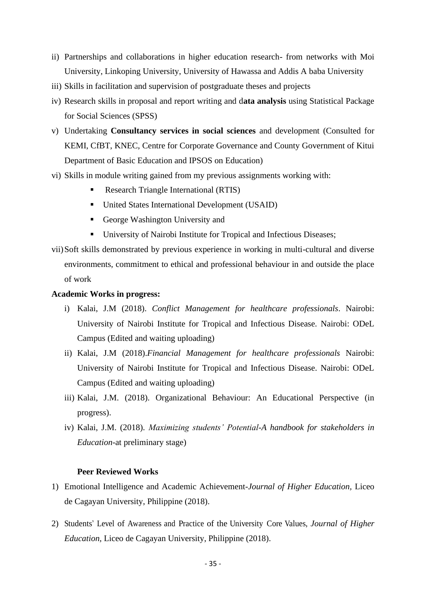- ii) Partnerships and collaborations in higher education research- from networks with Moi University, Linkoping University, University of Hawassa and Addis A baba University
- iii) Skills in facilitation and supervision of postgraduate theses and projects
- iv) Research skills in proposal and report writing and d**ata analysis** using Statistical Package for Social Sciences (SPSS)
- v) Undertaking **Consultancy services in social sciences** and development (Consulted for KEMI, CfBT, KNEC, Centre for Corporate Governance and County Government of Kitui Department of Basic Education and IPSOS on Education)
- vi) Skills in module writing gained from my previous assignments working with:
	- Research Triangle International (RTIS)
	- United States International Development (USAID)
	- George Washington University and
	- University of Nairobi Institute for Tropical and Infectious Diseases;
- vii)Soft skills demonstrated by previous experience in working in multi-cultural and diverse environments, commitment to ethical and professional behaviour in and outside the place of work

## **Academic Works in progress:**

- i) Kalai, J.M (2018). *Conflict Management for healthcare professionals*. Nairobi: University of Nairobi Institute for Tropical and Infectious Disease. Nairobi: ODeL Campus (Edited and waiting uploading)
- ii) Kalai, J.M (2018).*Financial Management for healthcare professionals* Nairobi: University of Nairobi Institute for Tropical and Infectious Disease. Nairobi: ODeL Campus (Edited and waiting uploading)
- iii) Kalai, J.M. (2018). Organizational Behaviour: An Educational Perspective (in progress).
- iv) Kalai, J.M. (2018). *Maximizing students' Potential-A handbook for stakeholders in Education-*at preliminary stage)

#### **Peer Reviewed Works**

- 1) Emotional Intelligence and Academic Achievement-*Journal of Higher Education,* Liceo de Cagayan University, Philippine (2018).
- 2) Students' Level of Awareness and Practice of the University Core Values, *Journal of Higher Education,* Liceo de Cagayan University, Philippine (2018).